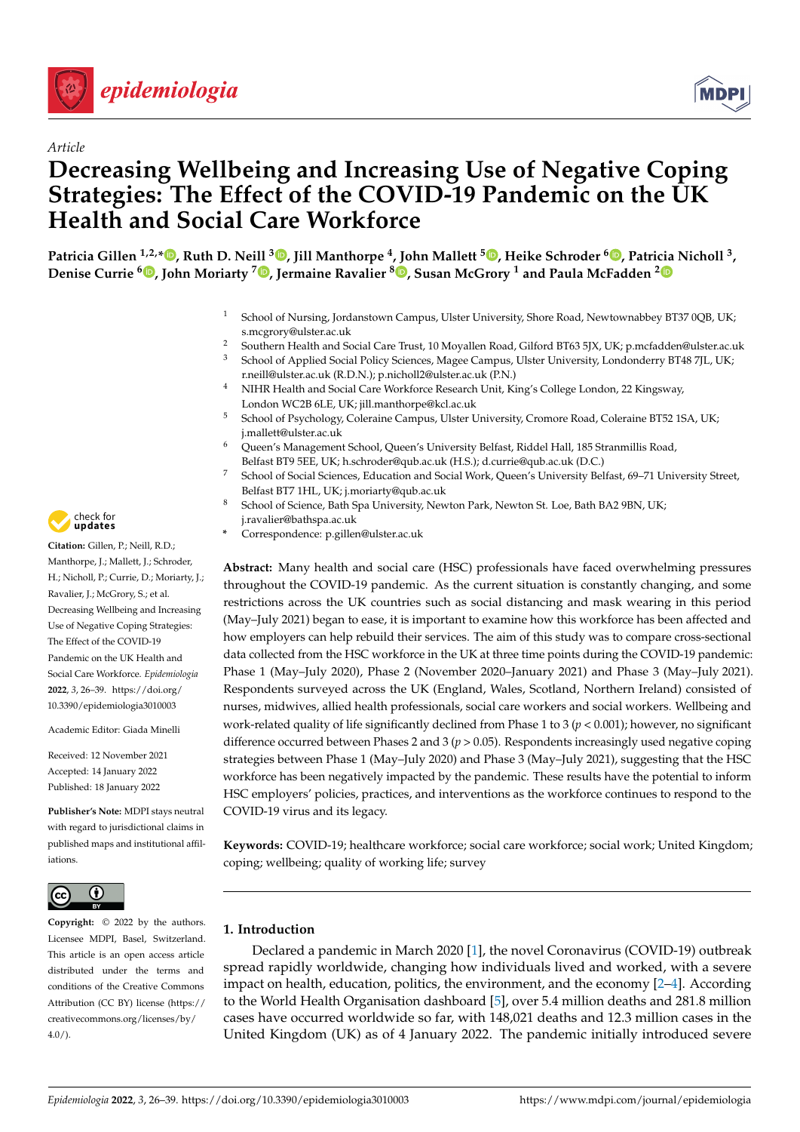



# *Article* **Decreasing Wellbeing and Increasing Use of Negative Coping Strategies: The Effect of the COVID-19 Pandemic on the UK Health and Social Care Workforce**

,<sup>8</sup>Patricia Gillen <sup>1,2,</sup>[\\*](https://orcid.org/0000-0003-4097-4355)®[,](https://orcid.org/0000-0001-8973-7954) Ruth D. Neill <sup>3</sup>®, Jill Manthorpe <sup>4</sup>, John Mallett <sup>5</sup>®, Heike Schroder <sup>6</sup>®, Patricia Nicholl <sup>3</sup> **Denise Currie [6](https://orcid.org/0000-0003-2002-0407) , John Moriarty <sup>7</sup> [,](https://orcid.org/0000-0002-8280-973X) Jermaine Ravalier <sup>8</sup> [,](https://orcid.org/0000-0002-8418-4841) Susan McGrory <sup>1</sup> and Paula McFadden [2](https://orcid.org/0000-0002-6025-5107)**

- <sup>1</sup> School of Nursing, Jordanstown Campus, Ulster University, Shore Road, Newtownabbey BT37 0QB, UK; s.mcgrory@ulster.ac.uk
- <sup>2</sup> Southern Health and Social Care Trust, 10 Moyallen Road, Gilford BT63 5JX, UK; p.mcfadden@ulster.ac.uk<br><sup>3</sup> Sebasel of Applied Social Baliay Sciences, Magas Campus, Ulster University Landandary, PT48 7H, LIV. <sup>3</sup> School of Applied Social Policy Sciences, Magee Campus, Ulster University, Londonderry BT48 7JL, UK; r.neill@ulster.ac.uk (R.D.N.); p.nicholl2@ulster.ac.uk (P.N.)
- <sup>4</sup> NIHR Health and Social Care Workforce Research Unit, King's College London, 22 Kingsway, London WC2B 6LE, UK; jill.manthorpe@kcl.ac.uk
- <sup>5</sup> School of Psychology, Coleraine Campus, Ulster University, Cromore Road, Coleraine BT52 1SA, UK; j.mallett@ulster.ac.uk
- <sup>6</sup> Queen's Management School, Queen's University Belfast, Riddel Hall, 185 Stranmillis Road, Belfast BT9 5EE, UK; h.schroder@qub.ac.uk (H.S.); d.currie@qub.ac.uk (D.C.)
- <sup>7</sup> School of Social Sciences, Education and Social Work, Queen's University Belfast, 69–71 University Street, Belfast BT7 1HL, UK; j.moriarty@qub.ac.uk
- School of Science, Bath Spa University, Newton Park, Newton St. Loe, Bath BA2 9BN, UK;
- j.ravalier@bathspa.ac.uk
- **\*** Correspondence: p.gillen@ulster.ac.uk

**Abstract:** Many health and social care (HSC) professionals have faced overwhelming pressures throughout the COVID-19 pandemic. As the current situation is constantly changing, and some restrictions across the UK countries such as social distancing and mask wearing in this period (May–July 2021) began to ease, it is important to examine how this workforce has been affected and how employers can help rebuild their services. The aim of this study was to compare cross-sectional data collected from the HSC workforce in the UK at three time points during the COVID-19 pandemic: Phase 1 (May–July 2020), Phase 2 (November 2020–January 2021) and Phase 3 (May–July 2021). Respondents surveyed across the UK (England, Wales, Scotland, Northern Ireland) consisted of nurses, midwives, allied health professionals, social care workers and social workers. Wellbeing and work-related quality of life significantly declined from Phase 1 to 3 (*p* < 0.001); however, no significant difference occurred between Phases 2 and 3 (*p* > 0.05). Respondents increasingly used negative coping strategies between Phase 1 (May–July 2020) and Phase 3 (May–July 2021), suggesting that the HSC workforce has been negatively impacted by the pandemic. These results have the potential to inform HSC employers' policies, practices, and interventions as the workforce continues to respond to the COVID-19 virus and its legacy.

**Keywords:** COVID-19; healthcare workforce; social care workforce; social work; United Kingdom; coping; wellbeing; quality of working life; survey

# **1. Introduction**

Declared a pandemic in March 2020 [\[1\]](#page-10-0), the novel Coronavirus (COVID-19) outbreak spread rapidly worldwide, changing how individuals lived and worked, with a severe impact on health, education, politics, the environment, and the economy  $[2-4]$  $[2-4]$ . According to the World Health Organisation dashboard [\[5\]](#page-10-3), over 5.4 million deaths and 281.8 million cases have occurred worldwide so far, with 148,021 deaths and 12.3 million cases in the United Kingdom (UK) as of 4 January 2022. The pandemic initially introduced severe



**Citation:** Gillen, P.; Neill, R.D.; Manthorpe, J.; Mallett, J.; Schroder, H.; Nicholl, P.; Currie, D.; Moriarty, J.; Ravalier, J.; McGrory, S.; et al. Decreasing Wellbeing and Increasing Use of Negative Coping Strategies: The Effect of the COVID-19 Pandemic on the UK Health and Social Care Workforce. *Epidemiologia* **2022**, *3*, 26–39. [https://doi.org/](https://doi.org/10.3390/epidemiologia3010003) [10.3390/epidemiologia3010003](https://doi.org/10.3390/epidemiologia3010003)

Academic Editor: Giada Minelli

Received: 12 November 2021 Accepted: 14 January 2022 Published: 18 January 2022

**Publisher's Note:** MDPI stays neutral with regard to jurisdictional claims in published maps and institutional affiliations.



**Copyright:** © 2022 by the authors. Licensee MDPI, Basel, Switzerland. This article is an open access article distributed under the terms and conditions of the Creative Commons Attribution (CC BY) license [\(https://](https://creativecommons.org/licenses/by/4.0/) [creativecommons.org/licenses/by/](https://creativecommons.org/licenses/by/4.0/)  $4.0/$ ).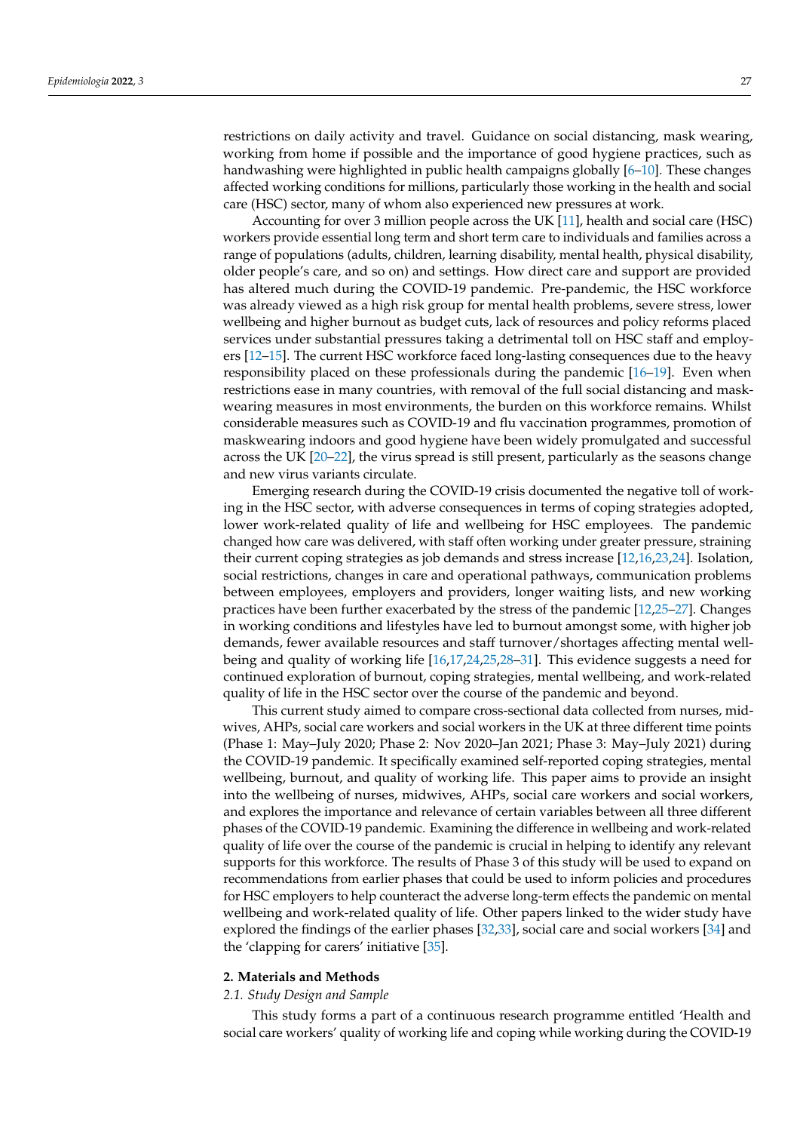restrictions on daily activity and travel. Guidance on social distancing, mask wearing, working from home if possible and the importance of good hygiene practices, such as handwashing were highlighted in public health campaigns globally [\[6](#page-10-4)[–10\]](#page-10-5). These changes affected working conditions for millions, particularly those working in the health and social care (HSC) sector, many of whom also experienced new pressures at work.

Accounting for over 3 million people across the UK [\[11\]](#page-10-6), health and social care (HSC) workers provide essential long term and short term care to individuals and families across a range of populations (adults, children, learning disability, mental health, physical disability, older people's care, and so on) and settings. How direct care and support are provided has altered much during the COVID-19 pandemic. Pre-pandemic, the HSC workforce was already viewed as a high risk group for mental health problems, severe stress, lower wellbeing and higher burnout as budget cuts, lack of resources and policy reforms placed services under substantial pressures taking a detrimental toll on HSC staff and employers [\[12](#page-11-0)[–15\]](#page-11-1). The current HSC workforce faced long-lasting consequences due to the heavy responsibility placed on these professionals during the pandemic [\[16](#page-11-2)[–19\]](#page-11-3). Even when restrictions ease in many countries, with removal of the full social distancing and maskwearing measures in most environments, the burden on this workforce remains. Whilst considerable measures such as COVID-19 and flu vaccination programmes, promotion of maskwearing indoors and good hygiene have been widely promulgated and successful across the UK [\[20–](#page-11-4)[22\]](#page-11-5), the virus spread is still present, particularly as the seasons change and new virus variants circulate.

Emerging research during the COVID-19 crisis documented the negative toll of working in the HSC sector, with adverse consequences in terms of coping strategies adopted, lower work-related quality of life and wellbeing for HSC employees. The pandemic changed how care was delivered, with staff often working under greater pressure, straining their current coping strategies as job demands and stress increase [\[12](#page-11-0)[,16](#page-11-2)[,23](#page-11-6)[,24\]](#page-11-7). Isolation, social restrictions, changes in care and operational pathways, communication problems between employees, employers and providers, longer waiting lists, and new working practices have been further exacerbated by the stress of the pandemic [\[12,](#page-11-0)[25–](#page-11-8)[27\]](#page-11-9). Changes in working conditions and lifestyles have led to burnout amongst some, with higher job demands, fewer available resources and staff turnover/shortages affecting mental wellbeing and quality of working life [\[16,](#page-11-2)[17,](#page-11-10)[24,](#page-11-7)[25,](#page-11-8)[28](#page-11-11)[–31\]](#page-11-12). This evidence suggests a need for continued exploration of burnout, coping strategies, mental wellbeing, and work-related quality of life in the HSC sector over the course of the pandemic and beyond.

This current study aimed to compare cross-sectional data collected from nurses, midwives, AHPs, social care workers and social workers in the UK at three different time points (Phase 1: May–July 2020; Phase 2: Nov 2020–Jan 2021; Phase 3: May–July 2021) during the COVID-19 pandemic. It specifically examined self-reported coping strategies, mental wellbeing, burnout, and quality of working life. This paper aims to provide an insight into the wellbeing of nurses, midwives, AHPs, social care workers and social workers, and explores the importance and relevance of certain variables between all three different phases of the COVID-19 pandemic. Examining the difference in wellbeing and work-related quality of life over the course of the pandemic is crucial in helping to identify any relevant supports for this workforce. The results of Phase 3 of this study will be used to expand on recommendations from earlier phases that could be used to inform policies and procedures for HSC employers to help counteract the adverse long-term effects the pandemic on mental wellbeing and work-related quality of life. Other papers linked to the wider study have explored the findings of the earlier phases [\[32](#page-11-13)[,33\]](#page-11-14), social care and social workers [\[34\]](#page-11-15) and the 'clapping for carers' initiative [\[35\]](#page-12-0).

## **2. Materials and Methods**

## *2.1. Study Design and Sample*

This study forms a part of a continuous research programme entitled 'Health and social care workers' quality of working life and coping while working during the COVID-19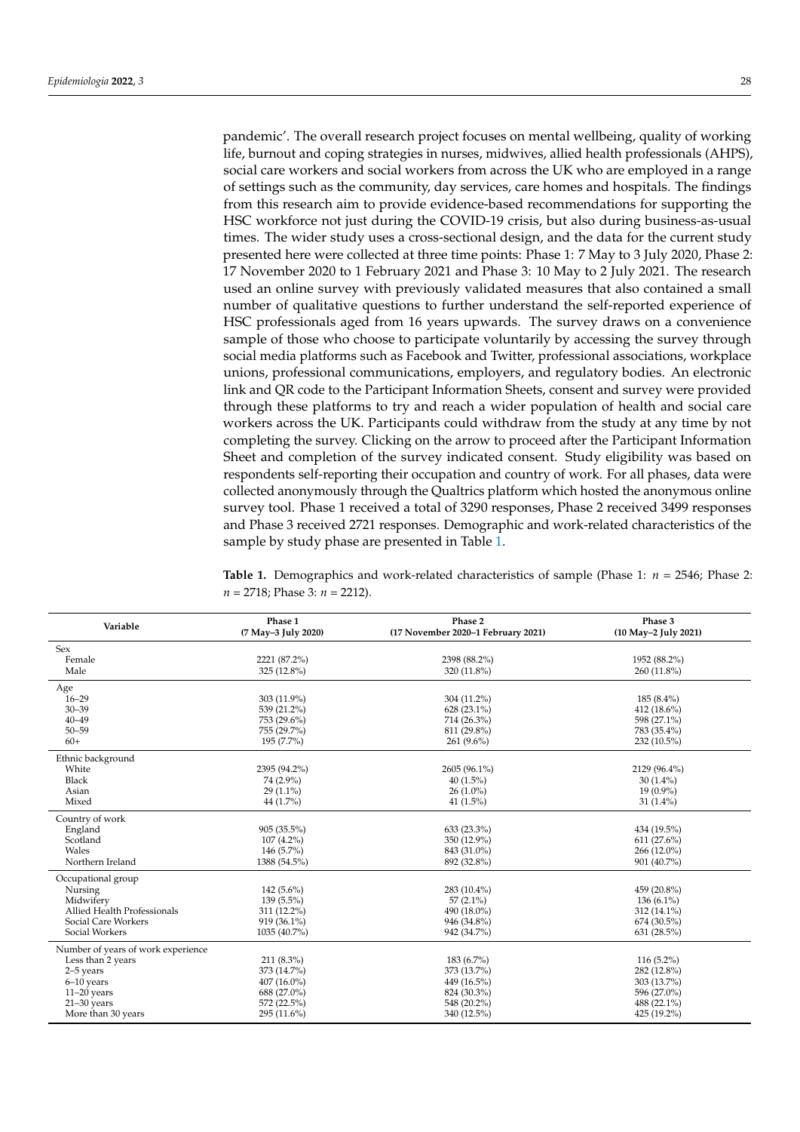pandemic'. The overall research project focuses on mental wellbeing, quality of working life, burnout and coping strategies in nurses, midwives, allied health professionals (AHPS), social care workers and social workers from across the UK who are employed in a range of settings such as the community, day services, care homes and hospitals. The findings from this research aim to provide evidence-based recommendations for supporting the HSC workforce not just during the COVID-19 crisis, but also during business-as-usual times. The wider study uses a cross-sectional design, and the data for the current study presented here were collected at three time points: Phase 1: 7 May to 3 July 2020, Phase 2: 17 November 2020 to 1 February 2021 and Phase 3: 10 May to 2 July 2021. The research used an online survey with previously validated measures that also contained a small number of qualitative questions to further understand the self-reported experience of HSC professionals aged from 16 years upwards. The survey draws on a convenience sample of those who choose to participate voluntarily by accessing the survey through social media platforms such as Facebook and Twitter, professional associations, workplace unions, professional communications, employers, and regulatory bodies. An electronic link and QR code to the Participant Information Sheets, consent and survey were provided through these platforms to try and reach a wider population of health and social care workers across the UK. Participants could withdraw from the study at any time by not completing the survey. Clicking on the arrow to proceed after the Participant Information Sheet and completion of the survey indicated consent. Study eligibility was based on respondents self-reporting their occupation and country of work. For all phases, data were collected anonymously through the Qualtrics platform which hosted the anonymous online survey tool. Phase 1 received a total of 3290 responses, Phase 2 received 3499 responses and Phase 3 received 2721 responses. Demographic and work-related characteristics of the sample by study phase are presented in Table [1.](#page-3-0)

**Table 1.** Demographics and work-related characteristics of sample (Phase 1: *n* = 2546; Phase 2: *n* = 2718; Phase 3: *n* = 2212).

| Variable                           | Phase 1<br>(7 May-3 July 2020) | Phase 2<br>(17 November 2020-1 February 2021) | Phase 3<br>(10 May-2 July 2021) |
|------------------------------------|--------------------------------|-----------------------------------------------|---------------------------------|
| Sex                                |                                |                                               |                                 |
| Female                             | 2221 (87.2%)                   | 2398 (88.2%)                                  | 1952 (88.2%)                    |
| Male                               | 325 (12.8%)                    | 320 (11.8%)                                   | 260 (11.8%)                     |
| Age                                |                                |                                               |                                 |
| $16 - 29$                          | 303 (11.9%)                    | 304 (11.2%)                                   | $185(8.4\%)$                    |
| $30 - 39$                          | 539 (21.2%)                    | 628 (23.1%)                                   | 412 (18.6%)                     |
| $40 - 49$                          | 753 (29.6%)                    | 714 (26.3%)                                   | 598 (27.1%)                     |
| $50 - 59$                          | 755 (29.7%)                    | 811 (29.8%)                                   | 783 (35.4%)                     |
| $60+$                              | 195 (7.7%)                     | $261(9.6\%)$                                  | 232 (10.5%)                     |
| Ethnic background                  |                                |                                               |                                 |
| White                              | 2395 (94.2%)                   | 2605 (96.1%)                                  | 2129 (96.4%)                    |
| Black                              | 74 (2.9%)                      | 40(1.5%)                                      | $30(1.4\%)$                     |
| Asian                              | $29(1.1\%)$                    | $26(1.0\%)$                                   | $19(0.9\%)$                     |
| Mixed                              | 44 (1.7%)                      | 41 $(1.5\%)$                                  | 31 $(1.4\%)$                    |
| Country of work                    |                                |                                               |                                 |
| England                            | 905 (35.5%)                    | 633 (23.3%)                                   | 434 (19.5%)                     |
| Scotland                           | $107(4.2\%)$                   | 350 (12.9%)                                   | 611(27.6%)                      |
| Wales                              | 146 (5.7%)                     | 843 (31.0%)                                   | 266 (12.0%)                     |
| Northern Ireland                   | 1388 (54.5%)                   | 892 (32.8%)                                   | 901 (40.7%)                     |
| Occupational group                 |                                |                                               |                                 |
| Nursing                            | 142 $(5.6\%)$                  | 283 (10.4%)                                   | 459 (20.8%)                     |
| Midwifery                          | 139 (5.5%)                     | $57(2.1\%)$                                   | 136 $(6.1\%)$                   |
| <b>Allied Health Professionals</b> | 311 (12.2%)                    | 490 (18.0%)                                   | 312 (14.1%)                     |
| Social Care Workers                | 919 (36.1%)                    | 946 (34.8%)                                   | 674 (30.5%)                     |
| Social Workers                     | 1035 (40.7%)                   | 942 (34.7%)                                   | 631 (28.5%)                     |
| Number of years of work experience |                                |                                               |                                 |
| Less than 2 years                  | 211 (8.3%)                     | 183 (6.7%)                                    | $116(5.2\%)$                    |
| 2-5 years                          | 373 (14.7%)                    | 373 (13.7%)                                   | 282 (12.8%)                     |
| $6-10$ years                       | $407(16.0\%)$                  | 449 (16.5%)                                   | 303 (13.7%)                     |
| $11-20$ years                      | 688 (27.0%)                    | 824 (30.3%)                                   | 596 (27.0%)                     |
| $21-30$ years                      | 572 (22.5%)                    | 548 (20.2%)                                   | 488 (22.1%)                     |
| More than 30 years                 | 295 (11.6%)                    | 340 (12.5%)                                   | 425 (19.2%)                     |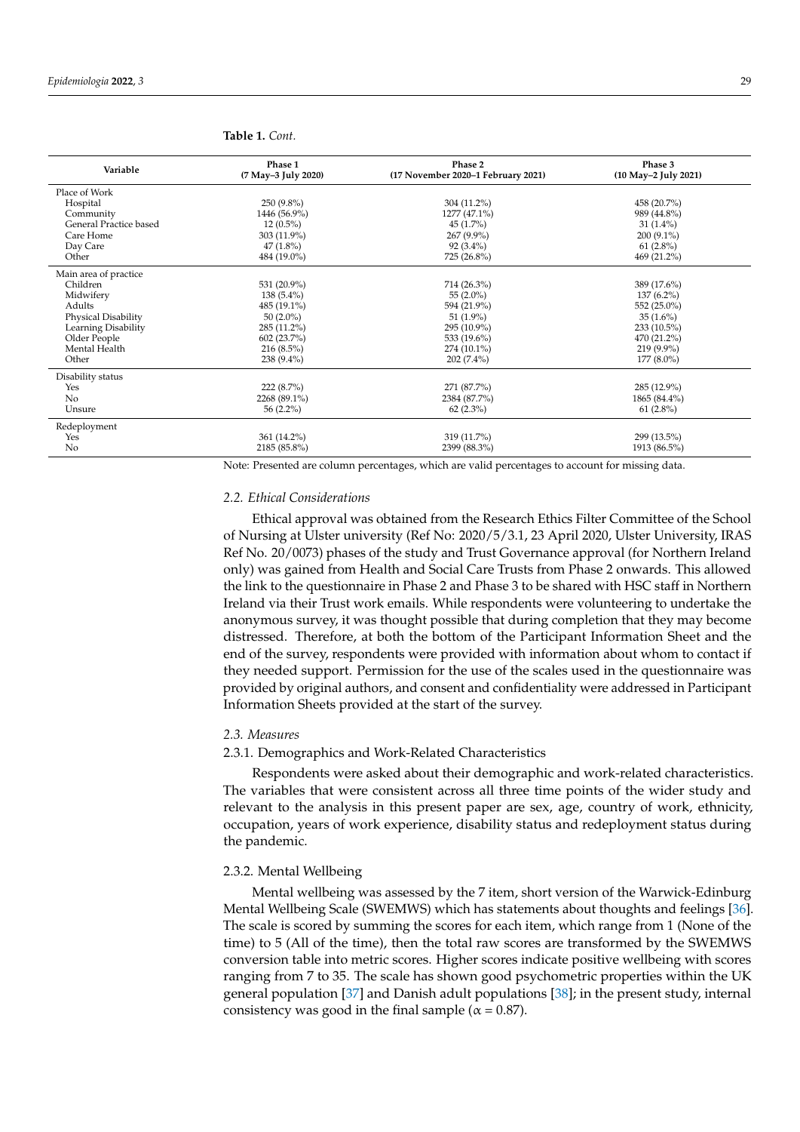| Variable               | Phase 1<br>(7 May-3 July 2020) | Phase 2<br>(17 November 2020-1 February 2021) | Phase 3<br>(10 May-2 July 2021) |
|------------------------|--------------------------------|-----------------------------------------------|---------------------------------|
| Place of Work          |                                |                                               |                                 |
| Hospital               | 250 (9.8%)                     | 304 (11.2%)                                   | 458 (20.7%)                     |
| Community              | 1446 (56.9%)                   | 1277 (47.1%)                                  | 989 (44.8%)                     |
| General Practice based | $12(0.5\%)$                    | $45(1.7\%)$                                   | $31(1.4\%)$                     |
| Care Home              | $303(11.9\%)$                  | 267 (9.9%)                                    | 200 (9.1%)                      |
| Day Care               | $47(1.8\%)$                    | $92(3.4\%)$                                   | $61(2.8\%)$                     |
| Other                  | 484 (19.0%)                    | 725 (26.8%)                                   | 469 (21.2%)                     |
| Main area of practice  |                                |                                               |                                 |
| Children               | 531 (20.9%)                    | 714 (26.3%)                                   | 389 (17.6%)                     |
| Midwifery              | $138(5.4\%)$                   | 55 $(2.0\%)$                                  | $137(6.2\%)$                    |
| Adults                 | 485 (19.1%)                    | 594 (21.9%)                                   | 552 (25.0%)                     |
| Physical Disability    | $50(2.0\%)$                    | $51(1.9\%)$                                   | $35(1.6\%)$                     |
| Learning Disability    | 285 (11.2%)                    | 295 (10.9%)                                   | $233(10.5\%)$                   |
| Older People           | 602 (23.7%)                    | 533 (19.6%)                                   | 470 (21.2%)                     |
| Mental Health          | $216(8.5\%)$                   | $274(10.1\%)$                                 | 219 (9.9%)                      |
| Other                  | 238 (9.4%)                     | 202 (7.4%)                                    | $177(8.0\%)$                    |
| Disability status      |                                |                                               |                                 |
| Yes                    | 222 (8.7%)                     | 271 (87.7%)                                   | 285 (12.9%)                     |
| No                     | 2268 (89.1%)                   | 2384 (87.7%)                                  | 1865 (84.4%)                    |
| Unsure                 | 56 $(2.2\%)$                   | $62(2.3\%)$                                   | $61(2.8\%)$                     |
| Redeployment           |                                |                                               |                                 |
| Yes                    | 361 (14.2%)                    | 319 (11.7%)                                   | 299 (13.5%)                     |
| N <sub>o</sub>         | 2185 (85.8%)                   | 2399 (88.3%)                                  | 1913 (86.5%)                    |

<span id="page-3-0"></span>**Table 1.** *Cont.*

Note: Presented are column percentages, which are valid percentages to account for missing data.

## *2.2. Ethical Considerations*

Ethical approval was obtained from the Research Ethics Filter Committee of the School of Nursing at Ulster university (Ref No: 2020/5/3.1, 23 April 2020, Ulster University, IRAS Ref No. 20/0073) phases of the study and Trust Governance approval (for Northern Ireland only) was gained from Health and Social Care Trusts from Phase 2 onwards. This allowed the link to the questionnaire in Phase 2 and Phase 3 to be shared with HSC staff in Northern Ireland via their Trust work emails. While respondents were volunteering to undertake the anonymous survey, it was thought possible that during completion that they may become distressed. Therefore, at both the bottom of the Participant Information Sheet and the end of the survey, respondents were provided with information about whom to contact if they needed support. Permission for the use of the scales used in the questionnaire was provided by original authors, and consent and confidentiality were addressed in Participant Information Sheets provided at the start of the survey.

## *2.3. Measures*

## 2.3.1. Demographics and Work-Related Characteristics

Respondents were asked about their demographic and work-related characteristics. The variables that were consistent across all three time points of the wider study and relevant to the analysis in this present paper are sex, age, country of work, ethnicity, occupation, years of work experience, disability status and redeployment status during the pandemic.

## 2.3.2. Mental Wellbeing

Mental wellbeing was assessed by the 7 item, short version of the Warwick-Edinburg Mental Wellbeing Scale (SWEMWS) which has statements about thoughts and feelings [\[36\]](#page-12-1). The scale is scored by summing the scores for each item, which range from 1 (None of the time) to 5 (All of the time), then the total raw scores are transformed by the SWEMWS conversion table into metric scores. Higher scores indicate positive wellbeing with scores ranging from 7 to 35. The scale has shown good psychometric properties within the UK general population [\[37\]](#page-12-2) and Danish adult populations [\[38\]](#page-12-3); in the present study, internal consistency was good in the final sample ( $\alpha$  = 0.87).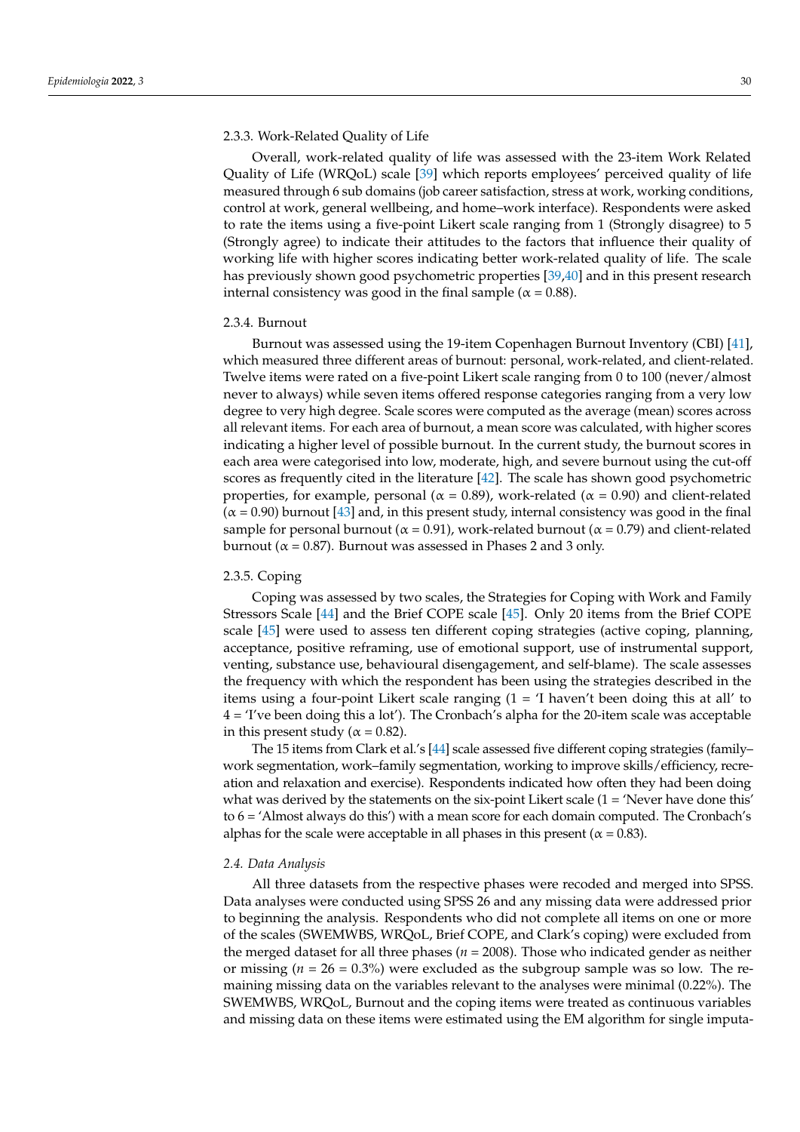### 2.3.3. Work-Related Quality of Life

Overall, work-related quality of life was assessed with the 23-item Work Related Quality of Life (WRQoL) scale [\[39\]](#page-12-4) which reports employees' perceived quality of life measured through 6 sub domains (job career satisfaction, stress at work, working conditions, control at work, general wellbeing, and home–work interface). Respondents were asked to rate the items using a five-point Likert scale ranging from 1 (Strongly disagree) to 5 (Strongly agree) to indicate their attitudes to the factors that influence their quality of working life with higher scores indicating better work-related quality of life. The scale has previously shown good psychometric properties [\[39](#page-12-4)[,40\]](#page-12-5) and in this present research internal consistency was good in the final sample ( $\alpha$  = 0.88).

#### 2.3.4. Burnout

Burnout was assessed using the 19-item Copenhagen Burnout Inventory (CBI) [\[41\]](#page-12-6), which measured three different areas of burnout: personal, work-related, and client-related. Twelve items were rated on a five-point Likert scale ranging from 0 to 100 (never/almost never to always) while seven items offered response categories ranging from a very low degree to very high degree. Scale scores were computed as the average (mean) scores across all relevant items. For each area of burnout, a mean score was calculated, with higher scores indicating a higher level of possible burnout. In the current study, the burnout scores in each area were categorised into low, moderate, high, and severe burnout using the cut-off scores as frequently cited in the literature [\[42\]](#page-12-7). The scale has shown good psychometric properties, for example, personal ( $\alpha = 0.89$ ), work-related ( $\alpha = 0.90$ ) and client-related  $(\alpha = 0.90)$  burnout [\[43\]](#page-12-8) and, in this present study, internal consistency was good in the final sample for personal burnout ( $\alpha$  = 0.91), work-related burnout ( $\alpha$  = 0.79) and client-related burnout ( $\alpha$  = 0.87). Burnout was assessed in Phases 2 and 3 only.

## 2.3.5. Coping

Coping was assessed by two scales, the Strategies for Coping with Work and Family Stressors Scale [\[44\]](#page-12-9) and the Brief COPE scale [\[45\]](#page-12-10). Only 20 items from the Brief COPE scale [\[45\]](#page-12-10) were used to assess ten different coping strategies (active coping, planning, acceptance, positive reframing, use of emotional support, use of instrumental support, venting, substance use, behavioural disengagement, and self-blame). The scale assesses the frequency with which the respondent has been using the strategies described in the items using a four-point Likert scale ranging (1 = 'I haven't been doing this at all' to 4 = 'I've been doing this a lot'). The Cronbach's alpha for the 20-item scale was acceptable in this present study ( $\alpha$  = 0.82).

The 15 items from Clark et al.'s [\[44\]](#page-12-9) scale assessed five different coping strategies (family– work segmentation, work–family segmentation, working to improve skills/efficiency, recreation and relaxation and exercise). Respondents indicated how often they had been doing what was derived by the statements on the six-point Likert scale  $(1 = 'N)$  Never have done this' to 6 = 'Almost always do this') with a mean score for each domain computed. The Cronbach's alphas for the scale were acceptable in all phases in this present ( $\alpha$  = 0.83).

## *2.4. Data Analysis*

All three datasets from the respective phases were recoded and merged into SPSS. Data analyses were conducted using SPSS 26 and any missing data were addressed prior to beginning the analysis. Respondents who did not complete all items on one or more of the scales (SWEMWBS, WRQoL, Brief COPE, and Clark's coping) were excluded from the merged dataset for all three phases ( $n = 2008$ ). Those who indicated gender as neither or missing  $(n = 26 = 0.3\%)$  were excluded as the subgroup sample was so low. The remaining missing data on the variables relevant to the analyses were minimal (0.22%). The SWEMWBS, WRQoL, Burnout and the coping items were treated as continuous variables and missing data on these items were estimated using the EM algorithm for single imputa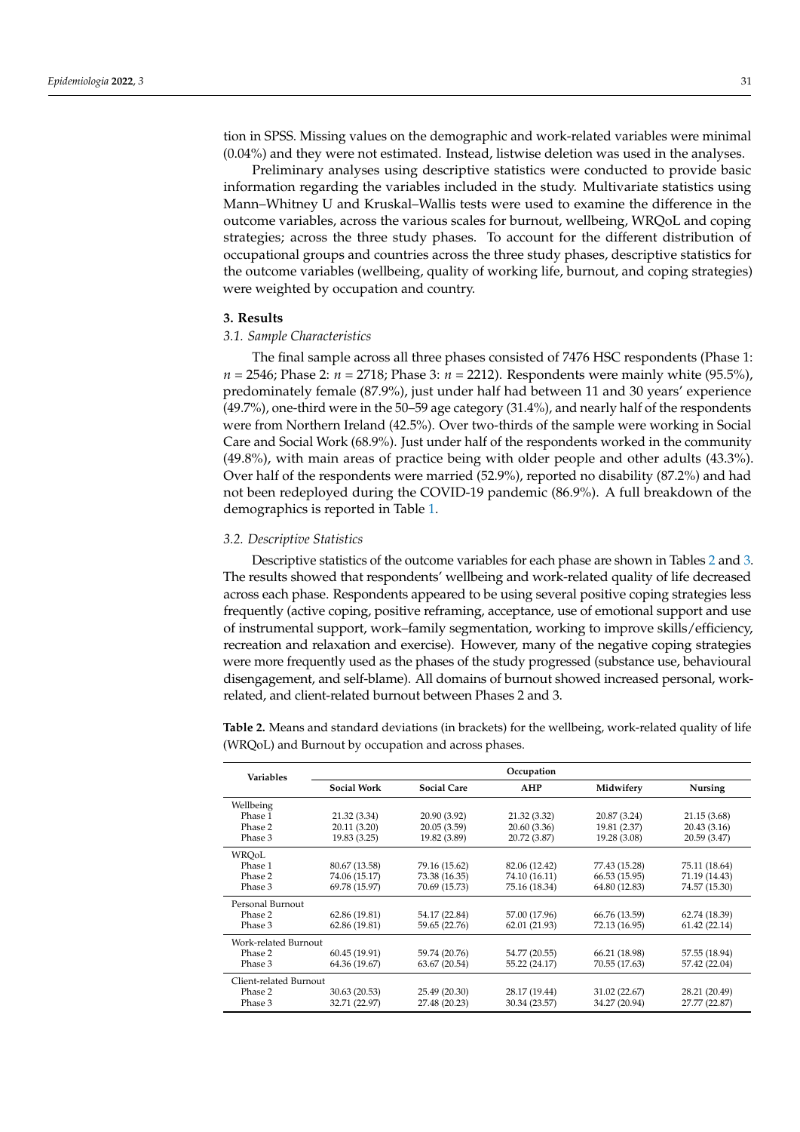tion in SPSS. Missing values on the demographic and work-related variables were minimal (0.04%) and they were not estimated. Instead, listwise deletion was used in the analyses.

Preliminary analyses using descriptive statistics were conducted to provide basic information regarding the variables included in the study. Multivariate statistics using Mann–Whitney U and Kruskal–Wallis tests were used to examine the difference in the outcome variables, across the various scales for burnout, wellbeing, WRQoL and coping strategies; across the three study phases. To account for the different distribution of occupational groups and countries across the three study phases, descriptive statistics for the outcome variables (wellbeing, quality of working life, burnout, and coping strategies) were weighted by occupation and country.

# **3. Results**

## *3.1. Sample Characteristics*

The final sample across all three phases consisted of 7476 HSC respondents (Phase 1: *n* = 2546; Phase 2: *n* = 2718; Phase 3: *n* = 2212). Respondents were mainly white (95.5%), predominately female (87.9%), just under half had between 11 and 30 years' experience (49.7%), one-third were in the 50–59 age category (31.4%), and nearly half of the respondents were from Northern Ireland (42.5%). Over two-thirds of the sample were working in Social Care and Social Work (68.9%). Just under half of the respondents worked in the community (49.8%), with main areas of practice being with older people and other adults (43.3%). Over half of the respondents were married (52.9%), reported no disability (87.2%) and had not been redeployed during the COVID-19 pandemic (86.9%). A full breakdown of the demographics is reported in Table [1.](#page-3-0)

## *3.2. Descriptive Statistics*

Descriptive statistics of the outcome variables for each phase are shown in Tables [2](#page-5-0) and [3.](#page-6-0) The results showed that respondents' wellbeing and work-related quality of life decreased across each phase. Respondents appeared to be using several positive coping strategies less frequently (active coping, positive reframing, acceptance, use of emotional support and use of instrumental support, work–family segmentation, working to improve skills/efficiency, recreation and relaxation and exercise). However, many of the negative coping strategies were more frequently used as the phases of the study progressed (substance use, behavioural disengagement, and self-blame). All domains of burnout showed increased personal, workrelated, and client-related burnout between Phases 2 and 3.

<span id="page-5-0"></span>**Table 2.** Means and standard deviations (in brackets) for the wellbeing, work-related quality of life (WRQoL) and Burnout by occupation and across phases.

| <b>Variables</b>       |                    | Occupation         |               |               |               |  |
|------------------------|--------------------|--------------------|---------------|---------------|---------------|--|
|                        | <b>Social Work</b> | <b>Social Care</b> | AHP           | Midwifery     | Nursing       |  |
| Wellbeing              |                    |                    |               |               |               |  |
| Phase 1                | 21.32 (3.34)       | 20.90 (3.92)       | 21.32 (3.32)  | 20.87 (3.24)  | 21.15 (3.68)  |  |
| Phase 2                | 20.11 (3.20)       | 20.05(3.59)        | 20.60 (3.36)  | 19.81 (2.37)  | 20.43(3.16)   |  |
| Phase 3                | 19.83 (3.25)       | 19.82 (3.89)       | 20.72 (3.87)  | 19.28 (3.08)  | 20.59 (3.47)  |  |
| WROoL                  |                    |                    |               |               |               |  |
| Phase 1                | 80.67 (13.58)      | 79.16 (15.62)      | 82.06 (12.42) | 77.43 (15.28) | 75.11 (18.64) |  |
| Phase 2                | 74.06 (15.17)      | 73.38 (16.35)      | 74.10 (16.11) | 66.53 (15.95) | 71.19 (14.43) |  |
| Phase 3                | 69.78 (15.97)      | 70.69 (15.73)      | 75.16 (18.34) | 64.80 (12.83) | 74.57 (15.30) |  |
| Personal Burnout       |                    |                    |               |               |               |  |
| Phase 2                | 62.86 (19.81)      | 54.17 (22.84)      | 57.00 (17.96) | 66.76 (13.59) | 62.74 (18.39) |  |
| Phase 3                | 62.86 (19.81)      | 59.65 (22.76)      | 62.01 (21.93) | 72.13 (16.95) | 61.42(22.14)  |  |
| Work-related Burnout   |                    |                    |               |               |               |  |
| Phase 2                | 60.45 (19.91)      | 59.74 (20.76)      | 54.77 (20.55) | 66.21 (18.98) | 57.55 (18.94) |  |
| Phase 3                | 64.36 (19.67)      | 63.67 (20.54)      | 55.22 (24.17) | 70.55 (17.63) | 57.42 (22.04) |  |
| Client-related Burnout |                    |                    |               |               |               |  |
| Phase 2                | 30.63 (20.53)      | 25.49 (20.30)      | 28.17 (19.44) | 31.02 (22.67) | 28.21 (20.49) |  |
| Phase 3                | 32.71 (22.97)      | 27.48 (20.23)      | 30.34 (23.57) | 34.27 (20.94) | 27.77 (22.87) |  |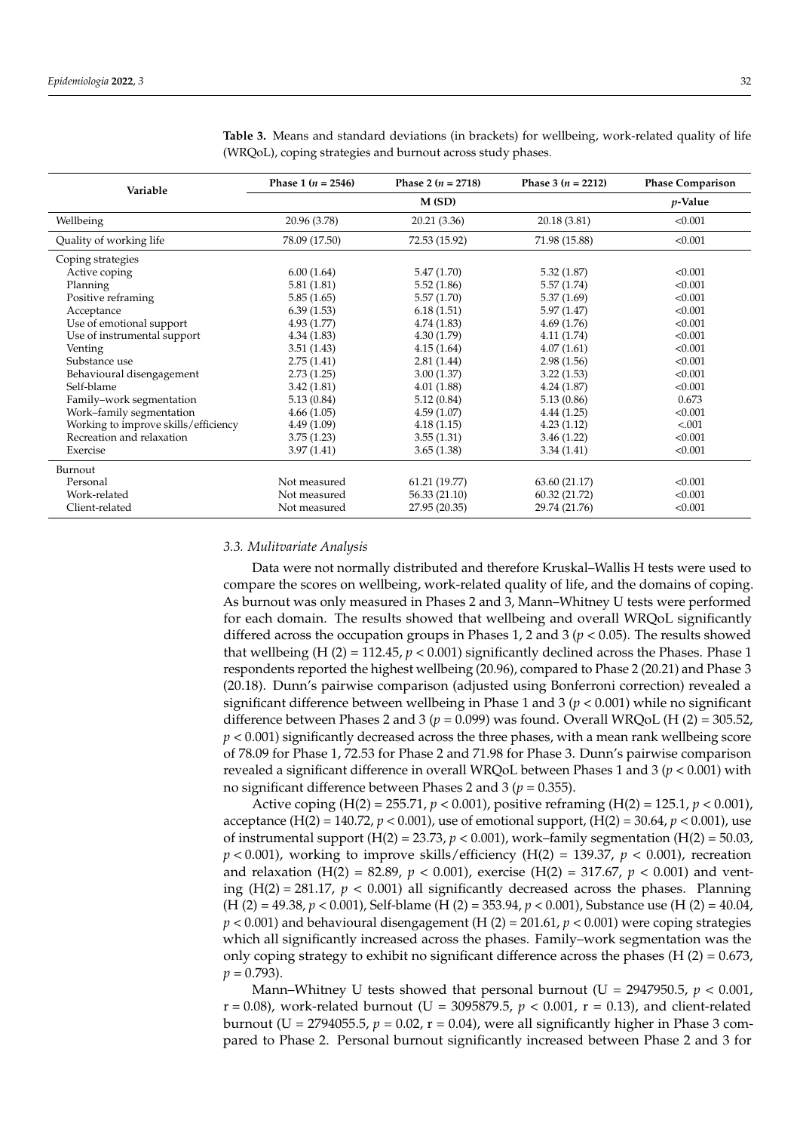| Variable                             | Phase 1 $(n = 2546)$ | Phase 2 $(n = 2718)$ | Phase 3 ( $n = 2212$ ) | <b>Phase Comparison</b> |
|--------------------------------------|----------------------|----------------------|------------------------|-------------------------|
|                                      |                      | M(SD)                |                        | $p$ -Value              |
| Wellbeing                            | 20.96 (3.78)         | 20.21 (3.36)         | 20.18 (3.81)           | < 0.001                 |
| Quality of working life              | 78.09 (17.50)        | 72.53 (15.92)        | 71.98 (15.88)          | < 0.001                 |
| Coping strategies                    |                      |                      |                        |                         |
| Active coping                        | 6.00(1.64)           | 5.47(1.70)           | 5.32(1.87)             | < 0.001                 |
| Planning                             | 5.81(1.81)           | 5.52(1.86)           | 5.57(1.74)             | < 0.001                 |
| Positive reframing                   | 5.85(1.65)           | 5.57(1.70)           | 5.37(1.69)             | < 0.001                 |
| Acceptance                           | 6.39(1.53)           | 6.18(1.51)           | 5.97(1.47)             | < 0.001                 |
| Use of emotional support             | 4.93(1.77)           | 4.74(1.83)           | 4.69(1.76)             | < 0.001                 |
| Use of instrumental support          | 4.34(1.83)           | 4.30(1.79)           | 4.11(1.74)             | < 0.001                 |
| Venting                              | 3.51(1.43)           | 4.15(1.64)           | 4.07(1.61)             | < 0.001                 |
| Substance use                        | 2.75(1.41)           | 2.81(1.44)           | 2.98(1.56)             | < 0.001                 |
| Behavioural disengagement            | 2.73(1.25)           | 3.00(1.37)           | 3.22(1.53)             | < 0.001                 |
| Self-blame                           | 3.42(1.81)           | 4.01(1.88)           | 4.24(1.87)             | < 0.001                 |
| Family-work segmentation             | 5.13(0.84)           | 5.12(0.84)           | 5.13(0.86)             | 0.673                   |
| Work-family segmentation             | 4.66(1.05)           | 4.59(1.07)           | 4.44(1.25)             | < 0.001                 |
| Working to improve skills/efficiency | 4.49(1.09)           | 4.18(1.15)           | 4.23(1.12)             | < .001                  |
| Recreation and relaxation            | 3.75(1.23)           | 3.55(1.31)           | 3.46(1.22)             | < 0.001                 |
| Exercise                             | 3.97(1.41)           | 3.65(1.38)           | 3.34(1.41)             | < 0.001                 |
| Burnout                              |                      |                      |                        |                         |
| Personal                             | Not measured         | 61.21 (19.77)        | 63.60 (21.17)          | < 0.001                 |
| Work-related                         | Not measured         | 56.33 (21.10)        | 60.32 (21.72)          | < 0.001                 |
| Client-related                       | Not measured         | 27.95 (20.35)        | 29.74 (21.76)          | < 0.001                 |

<span id="page-6-0"></span>**Table 3.** Means and standard deviations (in brackets) for wellbeing, work-related quality of life (WRQoL), coping strategies and burnout across study phases.

## *3.3. Mulitvariate Analysis*

Data were not normally distributed and therefore Kruskal–Wallis H tests were used to compare the scores on wellbeing, work-related quality of life, and the domains of coping. As burnout was only measured in Phases 2 and 3, Mann–Whitney U tests were performed for each domain. The results showed that wellbeing and overall WRQoL significantly differed across the occupation groups in Phases 1, 2 and 3 (*p* < 0.05). The results showed that wellbeing (H  $(2) = 112.45$ ,  $p < 0.001$ ) significantly declined across the Phases. Phase 1 respondents reported the highest wellbeing (20.96), compared to Phase 2 (20.21) and Phase 3 (20.18). Dunn's pairwise comparison (adjusted using Bonferroni correction) revealed a significant difference between wellbeing in Phase 1 and 3 (*p* < 0.001) while no significant difference between Phases 2 and 3 ( $p = 0.099$ ) was found. Overall WRQoL (H (2) = 305.52, *p* < 0.001) significantly decreased across the three phases, with a mean rank wellbeing score of 78.09 for Phase 1, 72.53 for Phase 2 and 71.98 for Phase 3. Dunn's pairwise comparison revealed a significant difference in overall WRQoL between Phases 1 and 3 (*p* < 0.001) with no significant difference between Phases 2 and 3 ( $p = 0.355$ ).

Active coping (H(2) = 255.71, *p* < 0.001), positive reframing (H(2) = 125.1, *p* < 0.001), acceptance (H(2) = 140.72,  $p < 0.001$ ), use of emotional support, (H(2) = 30.64,  $p < 0.001$ ), use of instrumental support  $(H(2) = 23.73, p < 0.001)$ , work–family segmentation  $(H(2) = 50.03, p < 0.001)$  $p < 0.001$ ), working to improve skills/efficiency (H(2) = 139.37,  $p < 0.001$ ), recreation and relaxation (H(2) = 82.89,  $p < 0.001$ ), exercise (H(2) = 317.67,  $p < 0.001$ ) and venting  $(H(2) = 281.17, p < 0.001)$  all significantly decreased across the phases. Planning (H (2) = 49.38, *p* < 0.001), Self-blame (H (2) = 353.94, *p* < 0.001), Substance use (H (2) = 40.04,  $p < 0.001$ ) and behavioural disengagement (H (2) = 201.61,  $p < 0.001$ ) were coping strategies which all significantly increased across the phases. Family–work segmentation was the only coping strategy to exhibit no significant difference across the phases (H  $(2) = 0.673$ ,  $p = 0.793$ .

Mann–Whitney U tests showed that personal burnout (U = 2947950.5, *p* < 0.001, r = 0.08), work-related burnout (U = 3095879.5, *p* < 0.001, r = 0.13), and client-related burnout (U = 2794055.5,  $p = 0.02$ ,  $r = 0.04$ ), were all significantly higher in Phase 3 compared to Phase 2. Personal burnout significantly increased between Phase 2 and 3 for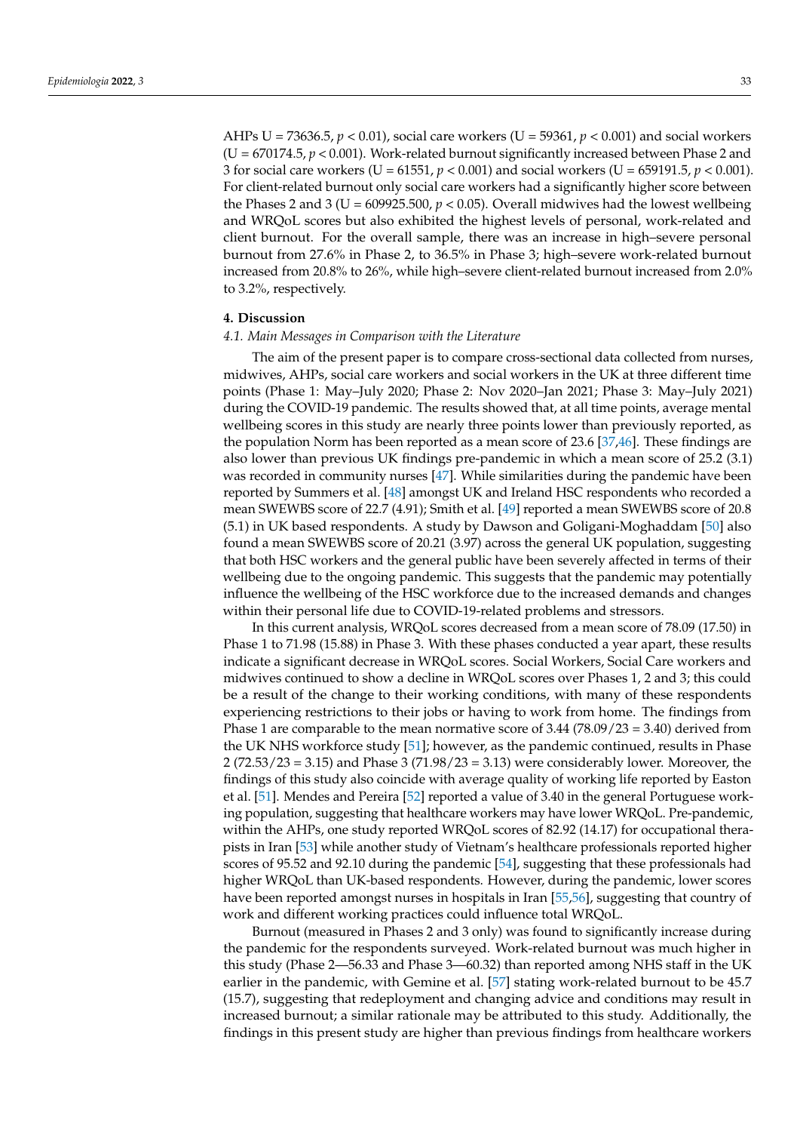AHPs U = 73636.5, *p* < 0.01), social care workers (U = 59361, *p* < 0.001) and social workers (U = 670174.5, *p* < 0.001). Work-related burnout significantly increased between Phase 2 and 3 for social care workers (U = 61551, *p* < 0.001) and social workers (U = 659191.5, *p* < 0.001). For client-related burnout only social care workers had a significantly higher score between the Phases 2 and 3 ( $U = 609925.500$ ,  $p < 0.05$ ). Overall midwives had the lowest wellbeing and WRQoL scores but also exhibited the highest levels of personal, work-related and client burnout. For the overall sample, there was an increase in high–severe personal burnout from 27.6% in Phase 2, to 36.5% in Phase 3; high–severe work-related burnout increased from 20.8% to 26%, while high–severe client-related burnout increased from 2.0% to 3.2%, respectively.

## **4. Discussion**

#### *4.1. Main Messages in Comparison with the Literature*

The aim of the present paper is to compare cross-sectional data collected from nurses, midwives, AHPs, social care workers and social workers in the UK at three different time points (Phase 1: May–July 2020; Phase 2: Nov 2020–Jan 2021; Phase 3: May–July 2021) during the COVID-19 pandemic. The results showed that, at all time points, average mental wellbeing scores in this study are nearly three points lower than previously reported, as the population Norm has been reported as a mean score of 23.6 [\[37](#page-12-2)[,46\]](#page-12-11). These findings are also lower than previous UK findings pre-pandemic in which a mean score of 25.2 (3.1) was recorded in community nurses [\[47\]](#page-12-12). While similarities during the pandemic have been reported by Summers et al. [\[48\]](#page-12-13) amongst UK and Ireland HSC respondents who recorded a mean SWEWBS score of 22.7 (4.91); Smith et al. [\[49\]](#page-12-14) reported a mean SWEWBS score of 20.8 (5.1) in UK based respondents. A study by Dawson and Goligani-Moghaddam [\[50\]](#page-12-15) also found a mean SWEWBS score of 20.21 (3.97) across the general UK population, suggesting that both HSC workers and the general public have been severely affected in terms of their wellbeing due to the ongoing pandemic. This suggests that the pandemic may potentially influence the wellbeing of the HSC workforce due to the increased demands and changes within their personal life due to COVID-19-related problems and stressors.

In this current analysis, WRQoL scores decreased from a mean score of 78.09 (17.50) in Phase 1 to 71.98 (15.88) in Phase 3. With these phases conducted a year apart, these results indicate a significant decrease in WRQoL scores. Social Workers, Social Care workers and midwives continued to show a decline in WRQoL scores over Phases 1, 2 and 3; this could be a result of the change to their working conditions, with many of these respondents experiencing restrictions to their jobs or having to work from home. The findings from Phase 1 are comparable to the mean normative score of 3.44 (78.09/23 = 3.40) derived from the UK NHS workforce study [\[51\]](#page-12-16); however, as the pandemic continued, results in Phase 2 (72.53/23 = 3.15) and Phase 3 (71.98/23 = 3.13) were considerably lower. Moreover, the findings of this study also coincide with average quality of working life reported by Easton et al. [\[51\]](#page-12-16). Mendes and Pereira [\[52\]](#page-12-17) reported a value of 3.40 in the general Portuguese working population, suggesting that healthcare workers may have lower WRQoL. Pre-pandemic, within the AHPs, one study reported WRQoL scores of 82.92 (14.17) for occupational therapists in Iran [\[53\]](#page-12-18) while another study of Vietnam's healthcare professionals reported higher scores of 95.52 and 92.10 during the pandemic [\[54\]](#page-12-19), suggesting that these professionals had higher WRQoL than UK-based respondents. However, during the pandemic, lower scores have been reported amongst nurses in hospitals in Iran [\[55](#page-12-20)[,56\]](#page-12-21), suggesting that country of work and different working practices could influence total WRQoL.

Burnout (measured in Phases 2 and 3 only) was found to significantly increase during the pandemic for the respondents surveyed. Work-related burnout was much higher in this study (Phase 2—56.33 and Phase 3—60.32) than reported among NHS staff in the UK earlier in the pandemic, with Gemine et al. [\[57\]](#page-12-22) stating work-related burnout to be 45.7 (15.7), suggesting that redeployment and changing advice and conditions may result in increased burnout; a similar rationale may be attributed to this study. Additionally, the findings in this present study are higher than previous findings from healthcare workers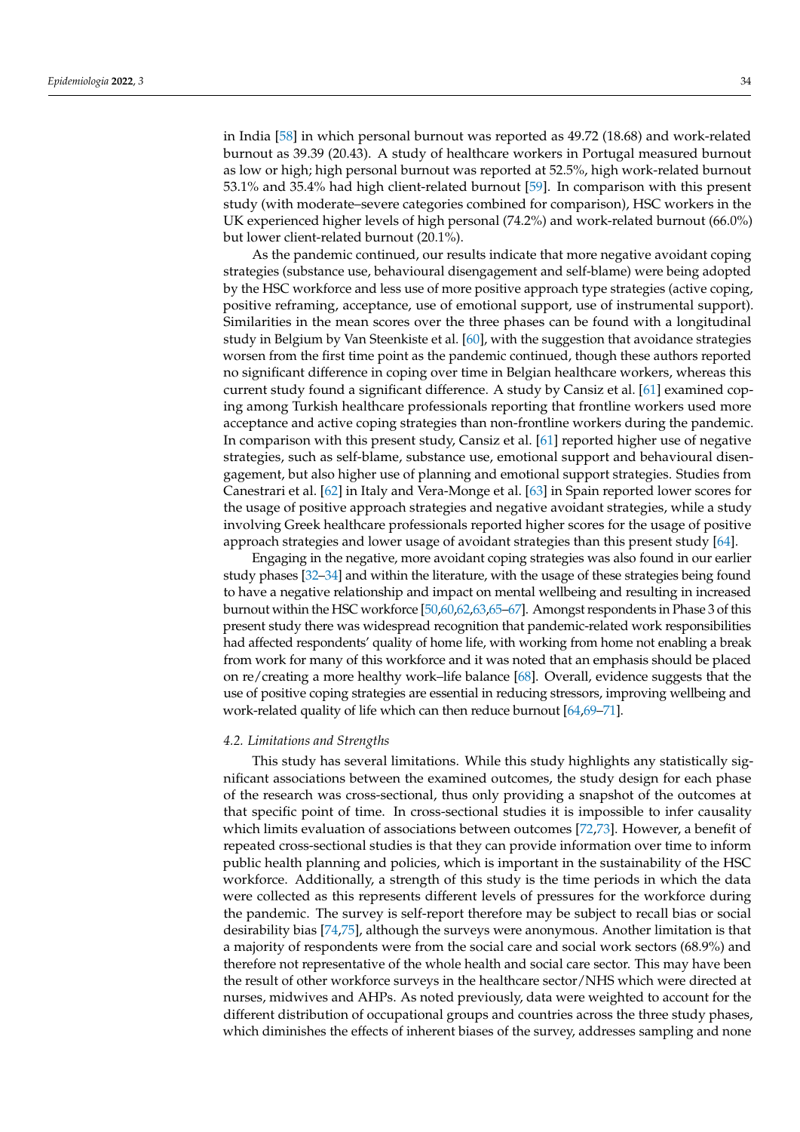in India [\[58\]](#page-12-23) in which personal burnout was reported as 49.72 (18.68) and work-related burnout as 39.39 (20.43). A study of healthcare workers in Portugal measured burnout as low or high; high personal burnout was reported at 52.5%, high work-related burnout 53.1% and 35.4% had high client-related burnout [\[59\]](#page-12-24). In comparison with this present study (with moderate–severe categories combined for comparison), HSC workers in the UK experienced higher levels of high personal (74.2%) and work-related burnout (66.0%) but lower client-related burnout (20.1%).

As the pandemic continued, our results indicate that more negative avoidant coping strategies (substance use, behavioural disengagement and self-blame) were being adopted by the HSC workforce and less use of more positive approach type strategies (active coping, positive reframing, acceptance, use of emotional support, use of instrumental support). Similarities in the mean scores over the three phases can be found with a longitudinal study in Belgium by Van Steenkiste et al. [\[60\]](#page-13-0), with the suggestion that avoidance strategies worsen from the first time point as the pandemic continued, though these authors reported no significant difference in coping over time in Belgian healthcare workers, whereas this current study found a significant difference. A study by Cansiz et al. [\[61\]](#page-13-1) examined coping among Turkish healthcare professionals reporting that frontline workers used more acceptance and active coping strategies than non-frontline workers during the pandemic. In comparison with this present study, Cansiz et al. [\[61\]](#page-13-1) reported higher use of negative strategies, such as self-blame, substance use, emotional support and behavioural disengagement, but also higher use of planning and emotional support strategies. Studies from Canestrari et al. [\[62\]](#page-13-2) in Italy and Vera-Monge et al. [\[63\]](#page-13-3) in Spain reported lower scores for the usage of positive approach strategies and negative avoidant strategies, while a study involving Greek healthcare professionals reported higher scores for the usage of positive approach strategies and lower usage of avoidant strategies than this present study [\[64\]](#page-13-4).

Engaging in the negative, more avoidant coping strategies was also found in our earlier study phases [\[32](#page-11-13)[–34\]](#page-11-15) and within the literature, with the usage of these strategies being found to have a negative relationship and impact on mental wellbeing and resulting in increased burnout within the HSC workforce [\[50](#page-12-15)[,60](#page-13-0)[,62,](#page-13-2)[63,](#page-13-3)[65–](#page-13-5)[67\]](#page-13-6). Amongst respondents in Phase 3 of this present study there was widespread recognition that pandemic-related work responsibilities had affected respondents' quality of home life, with working from home not enabling a break from work for many of this workforce and it was noted that an emphasis should be placed on re/creating a more healthy work–life balance [\[68\]](#page-13-7). Overall, evidence suggests that the use of positive coping strategies are essential in reducing stressors, improving wellbeing and work-related quality of life which can then reduce burnout [\[64,](#page-13-4)[69](#page-13-8)[–71\]](#page-13-9).

## *4.2. Limitations and Strengths*

This study has several limitations. While this study highlights any statistically significant associations between the examined outcomes, the study design for each phase of the research was cross-sectional, thus only providing a snapshot of the outcomes at that specific point of time. In cross-sectional studies it is impossible to infer causality which limits evaluation of associations between outcomes [\[72,](#page-13-10)[73\]](#page-13-11). However, a benefit of repeated cross-sectional studies is that they can provide information over time to inform public health planning and policies, which is important in the sustainability of the HSC workforce. Additionally, a strength of this study is the time periods in which the data were collected as this represents different levels of pressures for the workforce during the pandemic. The survey is self-report therefore may be subject to recall bias or social desirability bias [\[74,](#page-13-12)[75\]](#page-13-13), although the surveys were anonymous. Another limitation is that a majority of respondents were from the social care and social work sectors (68.9%) and therefore not representative of the whole health and social care sector. This may have been the result of other workforce surveys in the healthcare sector/NHS which were directed at nurses, midwives and AHPs. As noted previously, data were weighted to account for the different distribution of occupational groups and countries across the three study phases, which diminishes the effects of inherent biases of the survey, addresses sampling and none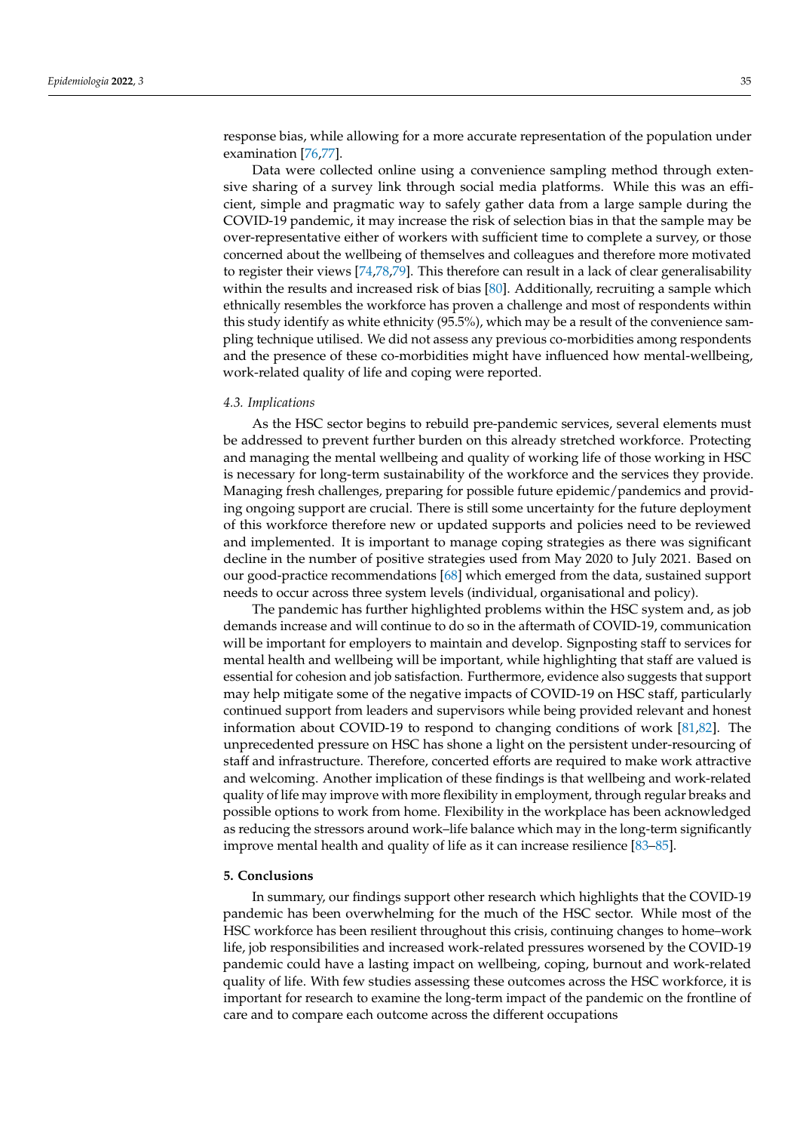response bias, while allowing for a more accurate representation of the population under examination [\[76](#page-13-14)[,77\]](#page-13-15).

Data were collected online using a convenience sampling method through extensive sharing of a survey link through social media platforms. While this was an efficient, simple and pragmatic way to safely gather data from a large sample during the COVID-19 pandemic, it may increase the risk of selection bias in that the sample may be over-representative either of workers with sufficient time to complete a survey, or those concerned about the wellbeing of themselves and colleagues and therefore more motivated to register their views [\[74](#page-13-12)[,78,](#page-13-16)[79\]](#page-13-17). This therefore can result in a lack of clear generalisability within the results and increased risk of bias [\[80\]](#page-13-18). Additionally, recruiting a sample which ethnically resembles the workforce has proven a challenge and most of respondents within this study identify as white ethnicity (95.5%), which may be a result of the convenience sampling technique utilised. We did not assess any previous co-morbidities among respondents and the presence of these co-morbidities might have influenced how mental-wellbeing, work-related quality of life and coping were reported.

## *4.3. Implications*

As the HSC sector begins to rebuild pre-pandemic services, several elements must be addressed to prevent further burden on this already stretched workforce. Protecting and managing the mental wellbeing and quality of working life of those working in HSC is necessary for long-term sustainability of the workforce and the services they provide. Managing fresh challenges, preparing for possible future epidemic/pandemics and providing ongoing support are crucial. There is still some uncertainty for the future deployment of this workforce therefore new or updated supports and policies need to be reviewed and implemented. It is important to manage coping strategies as there was significant decline in the number of positive strategies used from May 2020 to July 2021. Based on our good-practice recommendations [\[68\]](#page-13-7) which emerged from the data, sustained support needs to occur across three system levels (individual, organisational and policy).

The pandemic has further highlighted problems within the HSC system and, as job demands increase and will continue to do so in the aftermath of COVID-19, communication will be important for employers to maintain and develop. Signposting staff to services for mental health and wellbeing will be important, while highlighting that staff are valued is essential for cohesion and job satisfaction. Furthermore, evidence also suggests that support may help mitigate some of the negative impacts of COVID-19 on HSC staff, particularly continued support from leaders and supervisors while being provided relevant and honest information about COVID-19 to respond to changing conditions of work [\[81,](#page-13-19)[82\]](#page-13-20). The unprecedented pressure on HSC has shone a light on the persistent under-resourcing of staff and infrastructure. Therefore, concerted efforts are required to make work attractive and welcoming. Another implication of these findings is that wellbeing and work-related quality of life may improve with more flexibility in employment, through regular breaks and possible options to work from home. Flexibility in the workplace has been acknowledged as reducing the stressors around work–life balance which may in the long-term significantly improve mental health and quality of life as it can increase resilience [\[83–](#page-13-21)[85\]](#page-13-22).

## **5. Conclusions**

In summary, our findings support other research which highlights that the COVID-19 pandemic has been overwhelming for the much of the HSC sector. While most of the HSC workforce has been resilient throughout this crisis, continuing changes to home–work life, job responsibilities and increased work-related pressures worsened by the COVID-19 pandemic could have a lasting impact on wellbeing, coping, burnout and work-related quality of life. With few studies assessing these outcomes across the HSC workforce, it is important for research to examine the long-term impact of the pandemic on the frontline of care and to compare each outcome across the different occupations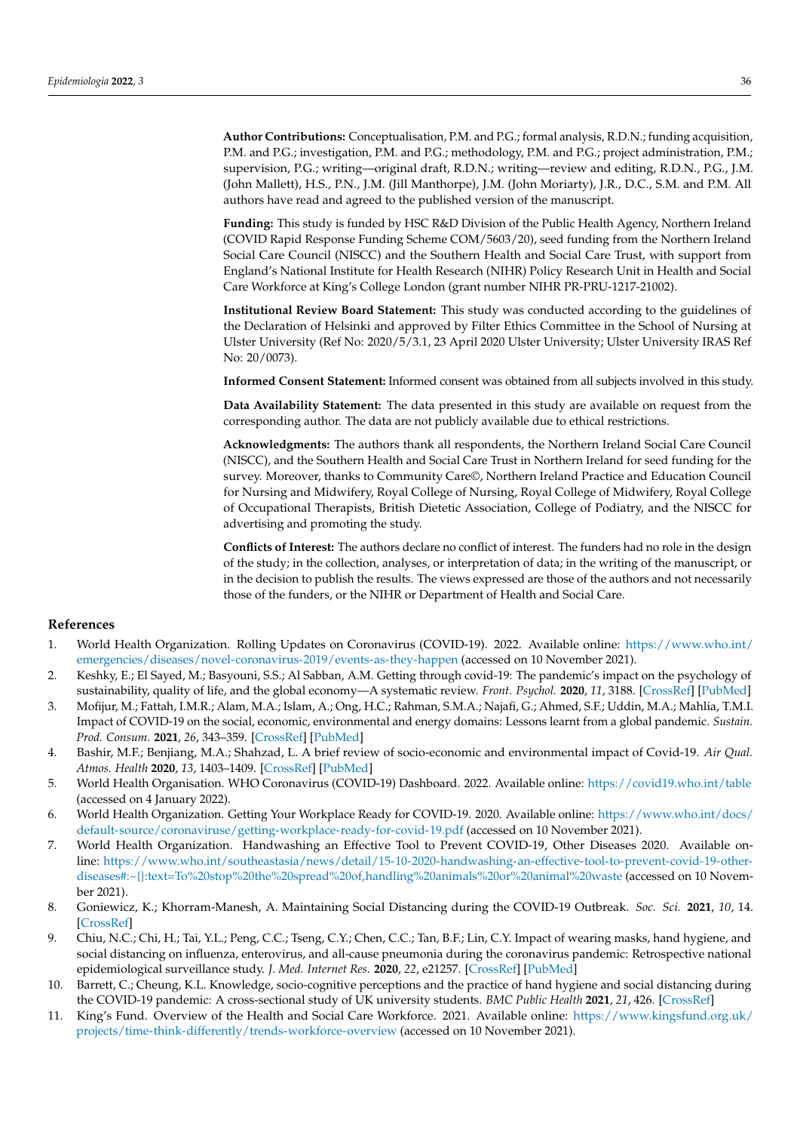**Author Contributions:** Conceptualisation, P.M. and P.G.; formal analysis, R.D.N.; funding acquisition, P.M. and P.G.; investigation, P.M. and P.G.; methodology, P.M. and P.G.; project administration, P.M.; supervision, P.G.; writing—original draft, R.D.N.; writing—review and editing, R.D.N., P.G., J.M. (John Mallett), H.S., P.N., J.M. (Jill Manthorpe), J.M. (John Moriarty), J.R., D.C., S.M. and P.M. All authors have read and agreed to the published version of the manuscript.

**Funding:** This study is funded by HSC R&D Division of the Public Health Agency, Northern Ireland (COVID Rapid Response Funding Scheme COM/5603/20), seed funding from the Northern Ireland Social Care Council (NISCC) and the Southern Health and Social Care Trust, with support from England's National Institute for Health Research (NIHR) Policy Research Unit in Health and Social Care Workforce at King's College London (grant number NIHR PR-PRU-1217-21002).

**Institutional Review Board Statement:** This study was conducted according to the guidelines of the Declaration of Helsinki and approved by Filter Ethics Committee in the School of Nursing at Ulster University (Ref No: 2020/5/3.1, 23 April 2020 Ulster University; Ulster University IRAS Ref No: 20/0073).

**Informed Consent Statement:** Informed consent was obtained from all subjects involved in this study.

**Data Availability Statement:** The data presented in this study are available on request from the corresponding author. The data are not publicly available due to ethical restrictions.

**Acknowledgments:** The authors thank all respondents, the Northern Ireland Social Care Council (NISCC), and the Southern Health and Social Care Trust in Northern Ireland for seed funding for the survey. Moreover, thanks to Community Care©, Northern Ireland Practice and Education Council for Nursing and Midwifery, Royal College of Nursing, Royal College of Midwifery, Royal College of Occupational Therapists, British Dietetic Association, College of Podiatry, and the NISCC for advertising and promoting the study.

**Conflicts of Interest:** The authors declare no conflict of interest. The funders had no role in the design of the study; in the collection, analyses, or interpretation of data; in the writing of the manuscript, or in the decision to publish the results. The views expressed are those of the authors and not necessarily those of the funders, or the NIHR or Department of Health and Social Care.

## **References**

- <span id="page-10-0"></span>1. World Health Organization. Rolling Updates on Coronavirus (COVID-19). 2022. Available online: [https://www.who.int/](https://www.who.int/emergencies/diseases/novel-coronavirus-2019/events-as-they-happen) [emergencies/diseases/novel-coronavirus-2019/events-as-they-happen](https://www.who.int/emergencies/diseases/novel-coronavirus-2019/events-as-they-happen) (accessed on 10 November 2021).
- <span id="page-10-1"></span>2. Keshky, E.; El Sayed, M.; Basyouni, S.S.; Al Sabban, A.M. Getting through covid-19: The pandemic's impact on the psychology of sustainability, quality of life, and the global economy—A systematic review. *Front. Psychol.* **2020**, *11*, 3188. [\[CrossRef\]](http://doi.org/10.3389/fpsyg.2020.585897) [\[PubMed\]](http://www.ncbi.nlm.nih.gov/pubmed/33281683)
- 3. Mofijur, M.; Fattah, I.M.R.; Alam, M.A.; Islam, A.; Ong, H.C.; Rahman, S.M.A.; Najafi, G.; Ahmed, S.F.; Uddin, M.A.; Mahlia, T.M.I. Impact of COVID-19 on the social, economic, environmental and energy domains: Lessons learnt from a global pandemic. *Sustain. Prod. Consum.* **2021**, *26*, 343–359. [\[CrossRef\]](http://doi.org/10.1016/j.spc.2020.10.016) [\[PubMed\]](http://www.ncbi.nlm.nih.gov/pubmed/33072833)
- <span id="page-10-2"></span>4. Bashir, M.F.; Benjiang, M.A.; Shahzad, L. A brief review of socio-economic and environmental impact of Covid-19. *Air Qual. Atmos. Health* **2020**, *13*, 1403–1409. [\[CrossRef\]](http://doi.org/10.1007/s11869-020-00894-8) [\[PubMed\]](http://www.ncbi.nlm.nih.gov/pubmed/32837620)
- <span id="page-10-3"></span>5. World Health Organisation. WHO Coronavirus (COVID-19) Dashboard. 2022. Available online: <https://covid19.who.int/table> (accessed on 4 January 2022).
- <span id="page-10-4"></span>6. World Health Organization. Getting Your Workplace Ready for COVID-19. 2020. Available online: [https://www.who.int/docs/](https://www.who.int/docs/default-source/coronaviruse/getting-workplace-ready-for-covid-19.pdf) [default-source/coronaviruse/getting-workplace-ready-for-covid-19.pdf](https://www.who.int/docs/default-source/coronaviruse/getting-workplace-ready-for-covid-19.pdf) (accessed on 10 November 2021).
- 7. World Health Organization. Handwashing an Effective Tool to Prevent COVID-19, Other Diseases 2020. Available online: [https://www.who.int/southeastasia/news/detail/15-10-2020-handwashing-an-effective-tool-to-prevent-covid-19-other](https://www.who.int/southeastasia/news/detail/15-10-2020-handwashing-an-effective-tool-to-prevent-covid-19-other-diseases#:~{}:text=To%20stop%20the%20spread%20of,handling%20animals%20or%20animal%20waste)[diseases#:~{}:text=To%20stop%20the%20spread%20of,handling%20animals%20or%20animal%20waste](https://www.who.int/southeastasia/news/detail/15-10-2020-handwashing-an-effective-tool-to-prevent-covid-19-other-diseases#:~{}:text=To%20stop%20the%20spread%20of,handling%20animals%20or%20animal%20waste) (accessed on 10 November 2021).
- 8. Goniewicz, K.; Khorram-Manesh, A. Maintaining Social Distancing during the COVID-19 Outbreak. *Soc. Sci.* **2021**, *10*, 14. [\[CrossRef\]](http://doi.org/10.3390/socsci10010014)
- 9. Chiu, N.C.; Chi, H.; Tai, Y.L.; Peng, C.C.; Tseng, C.Y.; Chen, C.C.; Tan, B.F.; Lin, C.Y. Impact of wearing masks, hand hygiene, and social distancing on influenza, enterovirus, and all-cause pneumonia during the coronavirus pandemic: Retrospective national epidemiological surveillance study. *J. Med. Internet Res.* **2020**, *22*, e21257. [\[CrossRef\]](http://doi.org/10.2196/21257) [\[PubMed\]](http://www.ncbi.nlm.nih.gov/pubmed/32750008)
- <span id="page-10-5"></span>10. Barrett, C.; Cheung, K.L. Knowledge, socio-cognitive perceptions and the practice of hand hygiene and social distancing during the COVID-19 pandemic: A cross-sectional study of UK university students. *BMC Public Health* **2021**, *21*, 426. [\[CrossRef\]](http://doi.org/10.1186/s12889-021-10461-0)
- <span id="page-10-6"></span>11. King's Fund. Overview of the Health and Social Care Workforce. 2021. Available online: [https://www.kingsfund.org.uk/](https://www.kingsfund.org.uk/projects/time-think-differently/trends-workforce-overview) [projects/time-think-differently/trends-workforce-overview](https://www.kingsfund.org.uk/projects/time-think-differently/trends-workforce-overview) (accessed on 10 November 2021).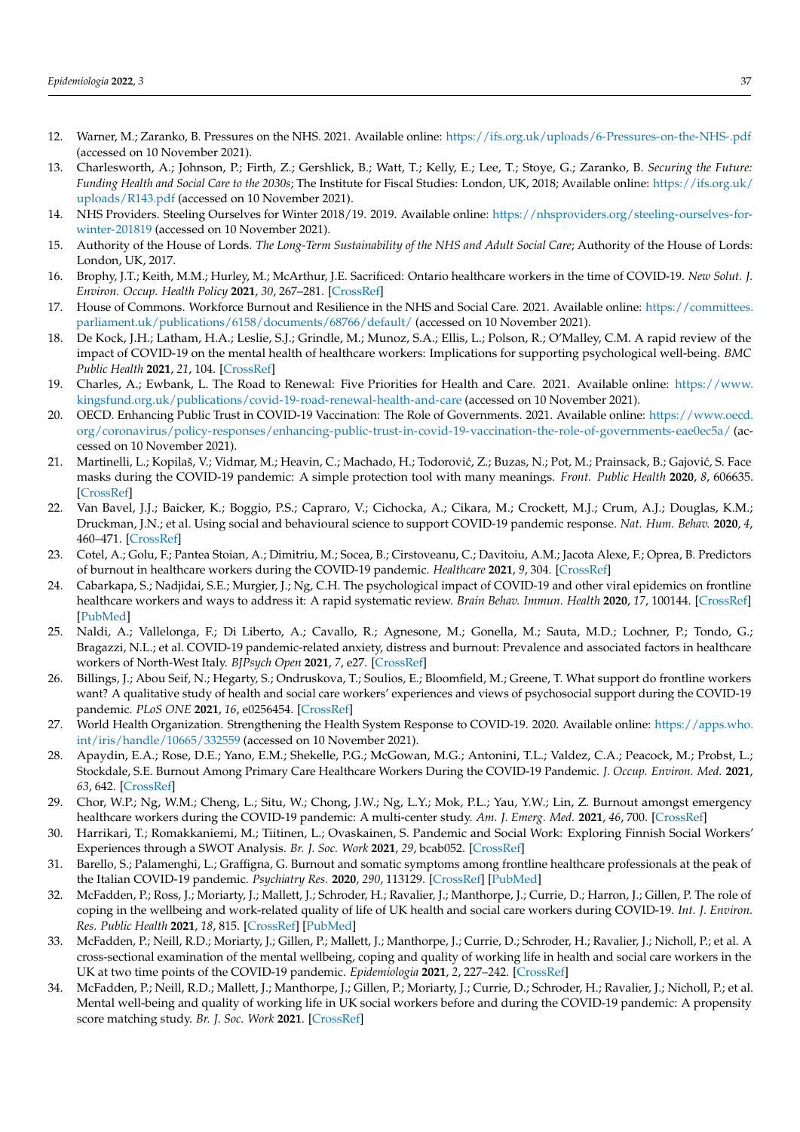- <span id="page-11-0"></span>12. Warner, M.; Zaranko, B. Pressures on the NHS. 2021. Available online: <https://ifs.org.uk/uploads/6-Pressures-on-the-NHS-.pdf> (accessed on 10 November 2021).
- 13. Charlesworth, A.; Johnson, P.; Firth, Z.; Gershlick, B.; Watt, T.; Kelly, E.; Lee, T.; Stoye, G.; Zaranko, B. *Securing the Future: Funding Health and Social Care to the 2030s*; The Institute for Fiscal Studies: London, UK, 2018; Available online: [https://ifs.org.uk/](https://ifs.org.uk/uploads/R143.pdf) [uploads/R143.pdf](https://ifs.org.uk/uploads/R143.pdf) (accessed on 10 November 2021).
- 14. NHS Providers. Steeling Ourselves for Winter 2018/19. 2019. Available online: [https://nhsproviders.org/steeling-ourselves-for](https://nhsproviders.org/steeling-ourselves-for-winter-201819)[winter-201819](https://nhsproviders.org/steeling-ourselves-for-winter-201819) (accessed on 10 November 2021).
- <span id="page-11-1"></span>15. Authority of the House of Lords. *The Long-Term Sustainability of the NHS and Adult Social Care*; Authority of the House of Lords: London, UK, 2017.
- <span id="page-11-2"></span>16. Brophy, J.T.; Keith, M.M.; Hurley, M.; McArthur, J.E. Sacrificed: Ontario healthcare workers in the time of COVID-19. *New Solut. J. Environ. Occup. Health Policy* **2021**, *30*, 267–281. [\[CrossRef\]](http://doi.org/10.1177/1048291120974358)
- <span id="page-11-10"></span>17. House of Commons. Workforce Burnout and Resilience in the NHS and Social Care. 2021. Available online: [https://committees.](https://committees.parliament.uk/publications/6158/documents/68766/default/) [parliament.uk/publications/6158/documents/68766/default/](https://committees.parliament.uk/publications/6158/documents/68766/default/) (accessed on 10 November 2021).
- 18. De Kock, J.H.; Latham, H.A.; Leslie, S.J.; Grindle, M.; Munoz, S.A.; Ellis, L.; Polson, R.; O'Malley, C.M. A rapid review of the impact of COVID-19 on the mental health of healthcare workers: Implications for supporting psychological well-being. *BMC Public Health* **2021**, *21*, 104. [\[CrossRef\]](http://doi.org/10.1186/s12889-020-10070-3)
- <span id="page-11-3"></span>19. Charles, A.; Ewbank, L. The Road to Renewal: Five Priorities for Health and Care. 2021. Available online: [https://www.](https://www.kingsfund.org.uk/publications/covid-19-road-renewal-health-and-care) [kingsfund.org.uk/publications/covid-19-road-renewal-health-and-care](https://www.kingsfund.org.uk/publications/covid-19-road-renewal-health-and-care) (accessed on 10 November 2021).
- <span id="page-11-4"></span>20. OECD. Enhancing Public Trust in COVID-19 Vaccination: The Role of Governments. 2021. Available online: [https://www.oecd.](https://www.oecd.org/coronavirus/policy-responses/enhancing-public-trust-in-covid-19-vaccination-the-role-of-governments-eae0ec5a/) [org/coronavirus/policy-responses/enhancing-public-trust-in-covid-19-vaccination-the-role-of-governments-eae0ec5a/](https://www.oecd.org/coronavirus/policy-responses/enhancing-public-trust-in-covid-19-vaccination-the-role-of-governments-eae0ec5a/) (accessed on 10 November 2021).
- 21. Martinelli, L.; Kopilaš, V.; Vidmar, M.; Heavin, C.; Machado, H.; Todorović, Z.; Buzas, N.; Pot, M.; Prainsack, B.; Gajović, S. Face masks during the COVID-19 pandemic: A simple protection tool with many meanings. *Front. Public Health* **2020**, *8*, 606635. [\[CrossRef\]](http://doi.org/10.3389/fpubh.2020.606635)
- <span id="page-11-5"></span>22. Van Bavel, J.J.; Baicker, K.; Boggio, P.S.; Capraro, V.; Cichocka, A.; Cikara, M.; Crockett, M.J.; Crum, A.J.; Douglas, K.M.; Druckman, J.N.; et al. Using social and behavioural science to support COVID-19 pandemic response. *Nat. Hum. Behav.* **2020**, *4*, 460–471. [\[CrossRef\]](http://doi.org/10.1038/s41562-020-0884-z)
- <span id="page-11-6"></span>23. Cotel, A.; Golu, F.; Pantea Stoian, A.; Dimitriu, M.; Socea, B.; Cirstoveanu, C.; Davitoiu, A.M.; Jacota Alexe, F.; Oprea, B. Predictors of burnout in healthcare workers during the COVID-19 pandemic. *Healthcare* **2021**, *9*, 304. [\[CrossRef\]](http://doi.org/10.3390/healthcare9030304)
- <span id="page-11-7"></span>24. Cabarkapa, S.; Nadjidai, S.E.; Murgier, J.; Ng, C.H. The psychological impact of COVID-19 and other viral epidemics on frontline healthcare workers and ways to address it: A rapid systematic review. *Brain Behav. Immun. Health* **2020**, *17*, 100144. [\[CrossRef\]](http://doi.org/10.1016/j.bbih.2020.100144) [\[PubMed\]](http://www.ncbi.nlm.nih.gov/pubmed/32959031)
- <span id="page-11-8"></span>25. Naldi, A.; Vallelonga, F.; Di Liberto, A.; Cavallo, R.; Agnesone, M.; Gonella, M.; Sauta, M.D.; Lochner, P.; Tondo, G.; Bragazzi, N.L.; et al. COVID-19 pandemic-related anxiety, distress and burnout: Prevalence and associated factors in healthcare workers of North-West Italy. *BJPsych Open* **2021**, *7*, e27. [\[CrossRef\]](http://doi.org/10.1192/bjo.2020.161)
- 26. Billings, J.; Abou Seif, N.; Hegarty, S.; Ondruskova, T.; Soulios, E.; Bloomfield, M.; Greene, T. What support do frontline workers want? A qualitative study of health and social care workers' experiences and views of psychosocial support during the COVID-19 pandemic. *PLoS ONE* **2021**, *16*, e0256454. [\[CrossRef\]](http://doi.org/10.1371/journal.pone.0256454)
- <span id="page-11-9"></span>27. World Health Organization. Strengthening the Health System Response to COVID-19. 2020. Available online: [https://apps.who.](https://apps.who.int/iris/handle/10665/332559) [int/iris/handle/10665/332559](https://apps.who.int/iris/handle/10665/332559) (accessed on 10 November 2021).
- <span id="page-11-11"></span>28. Apaydin, E.A.; Rose, D.E.; Yano, E.M.; Shekelle, P.G.; McGowan, M.G.; Antonini, T.L.; Valdez, C.A.; Peacock, M.; Probst, L.; Stockdale, S.E. Burnout Among Primary Care Healthcare Workers During the COVID-19 Pandemic. *J. Occup. Environ. Med.* **2021**, *63*, 642. [\[CrossRef\]](http://doi.org/10.1097/JOM.0000000000002263)
- 29. Chor, W.P.; Ng, W.M.; Cheng, L.; Situ, W.; Chong, J.W.; Ng, L.Y.; Mok, P.L.; Yau, Y.W.; Lin, Z. Burnout amongst emergency healthcare workers during the COVID-19 pandemic: A multi-center study. *Am. J. Emerg. Med.* **2021**, *46*, 700. [\[CrossRef\]](http://doi.org/10.1016/j.ajem.2020.10.040)
- 30. Harrikari, T.; Romakkaniemi, M.; Tiitinen, L.; Ovaskainen, S. Pandemic and Social Work: Exploring Finnish Social Workers' Experiences through a SWOT Analysis. *Br. J. Soc. Work* **2021**, *29*, bcab052. [\[CrossRef\]](http://doi.org/10.1093/bjsw/bcab052)
- <span id="page-11-12"></span>31. Barello, S.; Palamenghi, L.; Graffigna, G. Burnout and somatic symptoms among frontline healthcare professionals at the peak of the Italian COVID-19 pandemic. *Psychiatry Res.* **2020**, *290*, 113129. [\[CrossRef\]](http://doi.org/10.1016/j.psychres.2020.113129) [\[PubMed\]](http://www.ncbi.nlm.nih.gov/pubmed/32485487)
- <span id="page-11-13"></span>32. McFadden, P.; Ross, J.; Moriarty, J.; Mallett, J.; Schroder, H.; Ravalier, J.; Manthorpe, J.; Currie, D.; Harron, J.; Gillen, P. The role of coping in the wellbeing and work-related quality of life of UK health and social care workers during COVID-19. *Int. J. Environ. Res. Public Health* **2021**, *18*, 815. [\[CrossRef\]](http://doi.org/10.3390/ijerph18020815) [\[PubMed\]](http://www.ncbi.nlm.nih.gov/pubmed/33477880)
- <span id="page-11-14"></span>33. McFadden, P.; Neill, R.D.; Moriarty, J.; Gillen, P.; Mallett, J.; Manthorpe, J.; Currie, D.; Schroder, H.; Ravalier, J.; Nicholl, P.; et al. A cross-sectional examination of the mental wellbeing, coping and quality of working life in health and social care workers in the UK at two time points of the COVID-19 pandemic. *Epidemiologia* **2021**, *2*, 227–242. [\[CrossRef\]](http://doi.org/10.3390/epidemiologia2030017)
- <span id="page-11-15"></span>34. McFadden, P.; Neill, R.D.; Mallett, J.; Manthorpe, J.; Gillen, P.; Moriarty, J.; Currie, D.; Schroder, H.; Ravalier, J.; Nicholl, P.; et al. Mental well-being and quality of working life in UK social workers before and during the COVID-19 pandemic: A propensity score matching study. *Br. J. Soc. Work* **2021**. [\[CrossRef\]](http://doi.org/10.1093/bjsw/bcab198)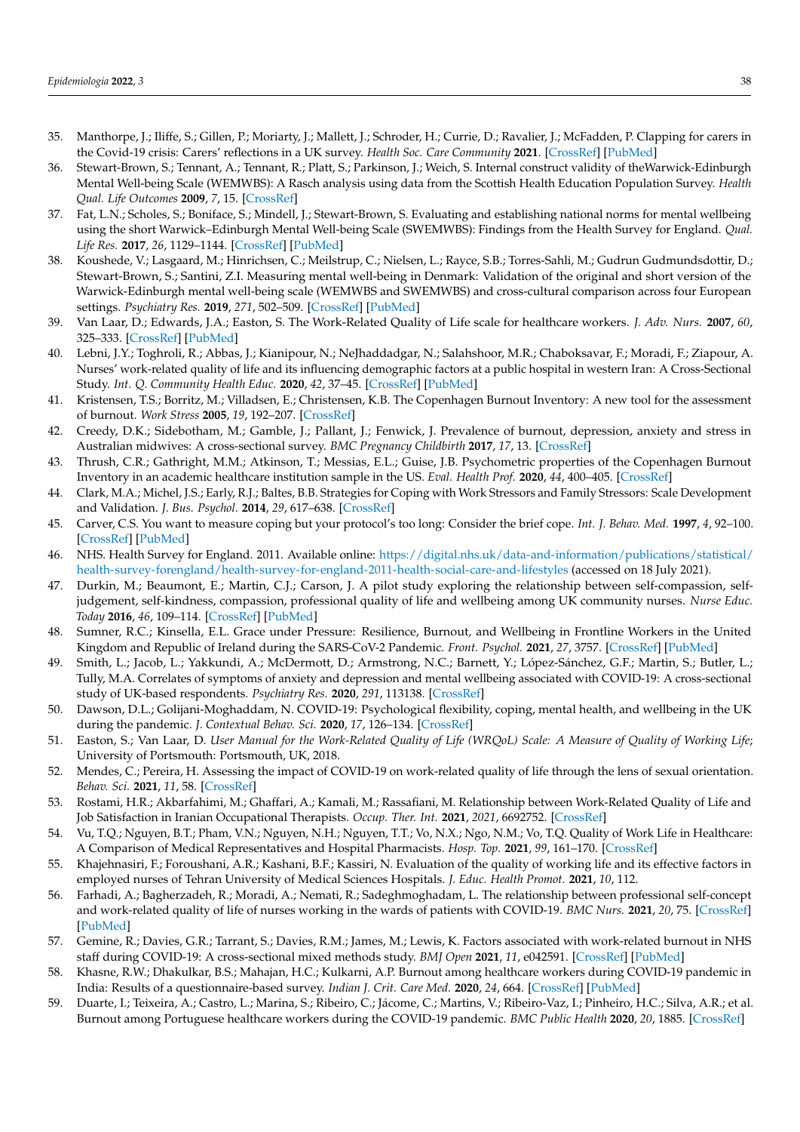- <span id="page-12-0"></span>35. Manthorpe, J.; Iliffe, S.; Gillen, P.; Moriarty, J.; Mallett, J.; Schroder, H.; Currie, D.; Ravalier, J.; McFadden, P. Clapping for carers in the Covid-19 crisis: Carers' reflections in a UK survey. *Health Soc. Care Community* **2021**. [\[CrossRef\]](http://doi.org/10.1111/hsc.13474) [\[PubMed\]](http://www.ncbi.nlm.nih.gov/pubmed/34125450)
- <span id="page-12-1"></span>36. Stewart-Brown, S.; Tennant, A.; Tennant, R.; Platt, S.; Parkinson, J.; Weich, S. Internal construct validity of theWarwick-Edinburgh Mental Well-being Scale (WEMWBS): A Rasch analysis using data from the Scottish Health Education Population Survey. *Health Qual. Life Outcomes* **2009**, *7*, 15. [\[CrossRef\]](http://doi.org/10.1186/1477-7525-7-15)
- <span id="page-12-2"></span>37. Fat, L.N.; Scholes, S.; Boniface, S.; Mindell, J.; Stewart-Brown, S. Evaluating and establishing national norms for mental wellbeing using the short Warwick–Edinburgh Mental Well-being Scale (SWEMWBS): Findings from the Health Survey for England. *Qual. Life Res.* **2017**, *26*, 1129–1144. [\[CrossRef\]](http://doi.org/10.1007/s11136-016-1454-8) [\[PubMed\]](http://www.ncbi.nlm.nih.gov/pubmed/27853963)
- <span id="page-12-3"></span>38. Koushede, V.; Lasgaard, M.; Hinrichsen, C.; Meilstrup, C.; Nielsen, L.; Rayce, S.B.; Torres-Sahli, M.; Gudrun Gudmundsdottir, D.; Stewart-Brown, S.; Santini, Z.I. Measuring mental well-being in Denmark: Validation of the original and short version of the Warwick-Edinburgh mental well-being scale (WEMWBS and SWEMWBS) and cross-cultural comparison across four European settings. *Psychiatry Res.* **2019**, *271*, 502–509. [\[CrossRef\]](http://doi.org/10.1016/j.psychres.2018.12.003) [\[PubMed\]](http://www.ncbi.nlm.nih.gov/pubmed/30551082)
- <span id="page-12-4"></span>39. Van Laar, D.; Edwards, J.A.; Easton, S. The Work-Related Quality of Life scale for healthcare workers. *J. Adv. Nurs.* **2007**, *60*, 325–333. [\[CrossRef\]](http://doi.org/10.1111/j.1365-2648.2007.04409.x) [\[PubMed\]](http://www.ncbi.nlm.nih.gov/pubmed/17908128)
- <span id="page-12-5"></span>40. Lebni, J.Y.; Toghroli, R.; Abbas, J.; Kianipour, N.; NeJhaddadgar, N.; Salahshoor, M.R.; Chaboksavar, F.; Moradi, F.; Ziapour, A. Nurses' work-related quality of life and its influencing demographic factors at a public hospital in western Iran: A Cross-Sectional Study. *Int. Q. Community Health Educ.* **2020**, *42*, 37–45. [\[CrossRef\]](http://doi.org/10.1177/0272684X20972838) [\[PubMed\]](http://www.ncbi.nlm.nih.gov/pubmed/33201756)
- <span id="page-12-6"></span>41. Kristensen, T.S.; Borritz, M.; Villadsen, E.; Christensen, K.B. The Copenhagen Burnout Inventory: A new tool for the assessment of burnout. *Work Stress* **2005**, *19*, 192–207. [\[CrossRef\]](http://doi.org/10.1080/02678370500297720)
- <span id="page-12-7"></span>42. Creedy, D.K.; Sidebotham, M.; Gamble, J.; Pallant, J.; Fenwick, J. Prevalence of burnout, depression, anxiety and stress in Australian midwives: A cross-sectional survey. *BMC Pregnancy Childbirth* **2017**, *17*, 13. [\[CrossRef\]](http://doi.org/10.1186/s12884-016-1212-5)
- <span id="page-12-8"></span>43. Thrush, C.R.; Gathright, M.M.; Atkinson, T.; Messias, E.L.; Guise, J.B. Psychometric properties of the Copenhagen Burnout Inventory in an academic healthcare institution sample in the US. *Eval. Health Prof.* **2020**, *44*, 400–405. [\[CrossRef\]](http://doi.org/10.1177/0163278720934165)
- <span id="page-12-9"></span>44. Clark, M.A.; Michel, J.S.; Early, R.J.; Baltes, B.B. Strategies for Coping with Work Stressors and Family Stressors: Scale Development and Validation. *J. Bus. Psychol.* **2014**, *29*, 617–638. [\[CrossRef\]](http://doi.org/10.1007/s10869-014-9356-7)
- <span id="page-12-10"></span>45. Carver, C.S. You want to measure coping but your protocol's too long: Consider the brief cope. *Int. J. Behav. Med.* **1997**, *4*, 92–100. [\[CrossRef\]](http://doi.org/10.1207/s15327558ijbm0401_6) [\[PubMed\]](http://www.ncbi.nlm.nih.gov/pubmed/16250744)
- <span id="page-12-11"></span>46. NHS. Health Survey for England. 2011. Available online: [https://digital.nhs.uk/data-and-information/publications/statistical/](https://digital.nhs.uk/data-and-information/publications/statistical/health-survey-forengland/health-survey-for-england-2011-health-social-care-and-lifestyles) [health-survey-forengland/health-survey-for-england-2011-health-social-care-and-lifestyles](https://digital.nhs.uk/data-and-information/publications/statistical/health-survey-forengland/health-survey-for-england-2011-health-social-care-and-lifestyles) (accessed on 18 July 2021).
- <span id="page-12-12"></span>47. Durkin, M.; Beaumont, E.; Martin, C.J.; Carson, J. A pilot study exploring the relationship between self-compassion, selfjudgement, self-kindness, compassion, professional quality of life and wellbeing among UK community nurses. *Nurse Educ. Today* **2016**, *46*, 109–114. [\[CrossRef\]](http://doi.org/10.1016/j.nedt.2016.08.030) [\[PubMed\]](http://www.ncbi.nlm.nih.gov/pubmed/27621200)
- <span id="page-12-13"></span>48. Sumner, R.C.; Kinsella, E.L. Grace under Pressure: Resilience, Burnout, and Wellbeing in Frontline Workers in the United Kingdom and Republic of Ireland during the SARS-CoV-2 Pandemic. *Front. Psychol.* **2021**, *27*, 3757. [\[CrossRef\]](http://doi.org/10.3389/fpsyg.2020.576229) [\[PubMed\]](http://www.ncbi.nlm.nih.gov/pubmed/33584412)
- <span id="page-12-14"></span>49. Smith, L.; Jacob, L.; Yakkundi, A.; McDermott, D.; Armstrong, N.C.; Barnett, Y.; López-Sánchez, G.F.; Martin, S.; Butler, L.; Tully, M.A. Correlates of symptoms of anxiety and depression and mental wellbeing associated with COVID-19: A cross-sectional study of UK-based respondents. *Psychiatry Res.* **2020**, *291*, 113138. [\[CrossRef\]](http://doi.org/10.1016/j.psychres.2020.113138)
- <span id="page-12-15"></span>50. Dawson, D.L.; Golijani-Moghaddam, N. COVID-19: Psychological flexibility, coping, mental health, and wellbeing in the UK during the pandemic. *J. Contextual Behav. Sci.* **2020**, *17*, 126–134. [\[CrossRef\]](http://doi.org/10.1016/j.jcbs.2020.07.010)
- <span id="page-12-16"></span>51. Easton, S.; Van Laar, D. *User Manual for the Work-Related Quality of Life (WRQoL) Scale: A Measure of Quality of Working Life*; University of Portsmouth: Portsmouth, UK, 2018.
- <span id="page-12-17"></span>52. Mendes, C.; Pereira, H. Assessing the impact of COVID-19 on work-related quality of life through the lens of sexual orientation. *Behav. Sci.* **2021**, *11*, 58. [\[CrossRef\]](http://doi.org/10.3390/bs11050058)
- <span id="page-12-18"></span>53. Rostami, H.R.; Akbarfahimi, M.; Ghaffari, A.; Kamali, M.; Rassafiani, M. Relationship between Work-Related Quality of Life and Job Satisfaction in Iranian Occupational Therapists. *Occup. Ther. Int.* **2021**, *2021*, 6692752. [\[CrossRef\]](http://doi.org/10.1155/2021/6692752)
- <span id="page-12-19"></span>54. Vu, T.Q.; Nguyen, B.T.; Pham, V.N.; Nguyen, N.H.; Nguyen, T.T.; Vo, N.X.; Ngo, N.M.; Vo, T.Q. Quality of Work Life in Healthcare: A Comparison of Medical Representatives and Hospital Pharmacists. *Hosp. Top.* **2021**, *99*, 161–170. [\[CrossRef\]](http://doi.org/10.1080/00185868.2021.1875278)
- <span id="page-12-20"></span>55. Khajehnasiri, F.; Foroushani, A.R.; Kashani, B.F.; Kassiri, N. Evaluation of the quality of working life and its effective factors in employed nurses of Tehran University of Medical Sciences Hospitals. *J. Educ. Health Promot.* **2021**, *10*, 112.
- <span id="page-12-21"></span>56. Farhadi, A.; Bagherzadeh, R.; Moradi, A.; Nemati, R.; Sadeghmoghadam, L. The relationship between professional self-concept and work-related quality of life of nurses working in the wards of patients with COVID-19. *BMC Nurs.* **2021**, *20*, 75. [\[CrossRef\]](http://doi.org/10.1186/s12912-021-00595-2) [\[PubMed\]](http://www.ncbi.nlm.nih.gov/pubmed/33980217)
- <span id="page-12-22"></span>57. Gemine, R.; Davies, G.R.; Tarrant, S.; Davies, R.M.; James, M.; Lewis, K. Factors associated with work-related burnout in NHS staff during COVID-19: A cross-sectional mixed methods study. *BMJ Open* **2021**, *11*, e042591. [\[CrossRef\]](http://doi.org/10.1136/bmjopen-2020-042591) [\[PubMed\]](http://www.ncbi.nlm.nih.gov/pubmed/33509850)
- <span id="page-12-23"></span>58. Khasne, R.W.; Dhakulkar, B.S.; Mahajan, H.C.; Kulkarni, A.P. Burnout among healthcare workers during COVID-19 pandemic in India: Results of a questionnaire-based survey. *Indian J. Crit. Care Med.* **2020**, *24*, 664. [\[CrossRef\]](http://doi.org/10.5005/jp-journals-10071-23518) [\[PubMed\]](http://www.ncbi.nlm.nih.gov/pubmed/33024372)
- <span id="page-12-24"></span>59. Duarte, I.; Teixeira, A.; Castro, L.; Marina, S.; Ribeiro, C.; Jácome, C.; Martins, V.; Ribeiro-Vaz, I.; Pinheiro, H.C.; Silva, A.R.; et al. Burnout among Portuguese healthcare workers during the COVID-19 pandemic. *BMC Public Health* **2020**, *20*, 1885. [\[CrossRef\]](http://doi.org/10.1186/s12889-020-09980-z)